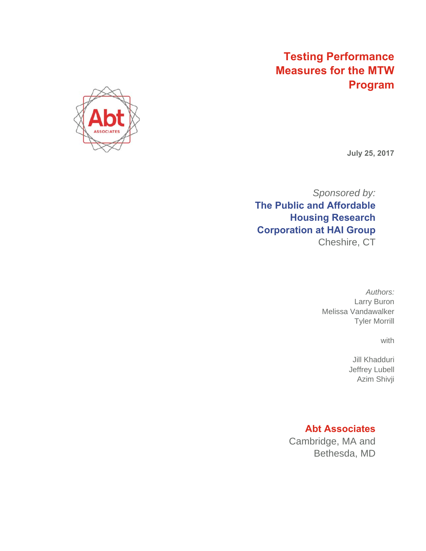# **Testing Performance Measures for the MTW Program**



**July 25, 2017** 

*Sponsored by:*  **The Public and Affordable Housing Research Corporation at HAI Group**  Cheshire, CT

> *Authors:*  Larry Buron Melissa Vandawalker Tyler Morrill

> > with

Jill Khadduri Jeffrey Lubell Azim Shivji

### **Abt Associates**

Cambridge, MA and Bethesda, MD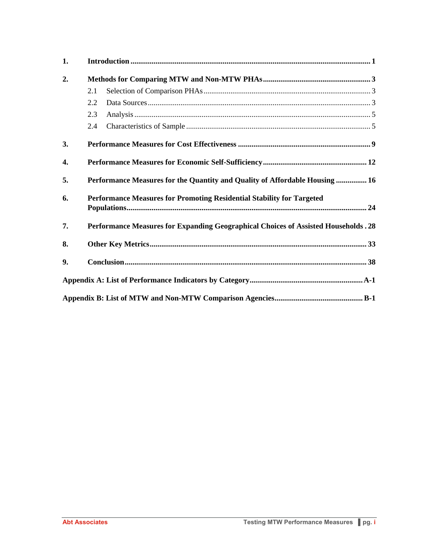| 1. |                                                                                            |
|----|--------------------------------------------------------------------------------------------|
| 2. |                                                                                            |
|    | 2.1                                                                                        |
|    | 2.2                                                                                        |
|    | 2.3                                                                                        |
|    | 2.4                                                                                        |
| 3. |                                                                                            |
| 4. |                                                                                            |
| 5. | <b>Performance Measures for the Quantity and Quality of Affordable Housing  16</b>         |
| 6. | Performance Measures for Promoting Residential Stability for Targeted                      |
| 7. | <b>Performance Measures for Expanding Geographical Choices of Assisted Households . 28</b> |
| 8. |                                                                                            |
| 9. |                                                                                            |
|    |                                                                                            |
|    |                                                                                            |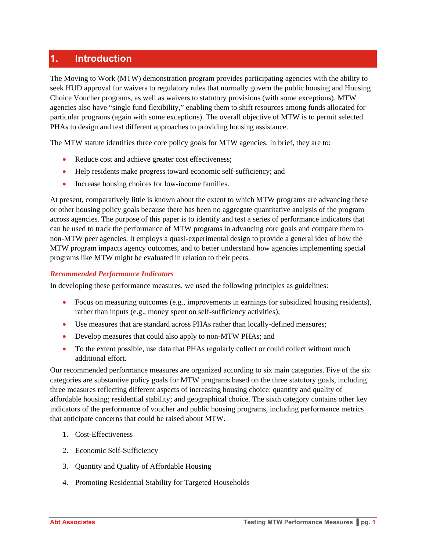## **1. Introduction**

The Moving to Work (MTW) demonstration program provides participating agencies with the ability to seek HUD approval for waivers to regulatory rules that normally govern the public housing and Housing Choice Voucher programs, as well as waivers to statutory provisions (with some exceptions). MTW agencies also have "single fund flexibility," enabling them to shift resources among funds allocated for particular programs (again with some exceptions). The overall objective of MTW is to permit selected PHAs to design and test different approaches to providing housing assistance.

The MTW statute identifies three core policy goals for MTW agencies. In brief, they are to:

- Reduce cost and achieve greater cost effectiveness;
- Help residents make progress toward economic self-sufficiency; and
- Increase housing choices for low-income families.

At present, comparatively little is known about the extent to which MTW programs are advancing these or other housing policy goals because there has been no aggregate quantitative analysis of the program across agencies. The purpose of this paper is to identify and test a series of performance indicators that can be used to track the performance of MTW programs in advancing core goals and compare them to non-MTW peer agencies. It employs a quasi-experimental design to provide a general idea of how the MTW program impacts agency outcomes, and to better understand how agencies implementing special programs like MTW might be evaluated in relation to their peers.

#### *Recommended Performance Indicators*

In developing these performance measures, we used the following principles as guidelines:

- Focus on measuring outcomes (e.g., improvements in earnings for subsidized housing residents), rather than inputs (e.g., money spent on self-sufficiency activities);
- Use measures that are standard across PHAs rather than locally-defined measures;
- Develop measures that could also apply to non-MTW PHAs; and
- To the extent possible, use data that PHAs regularly collect or could collect without much additional effort.

Our recommended performance measures are organized according to six main categories. Five of the six categories are substantive policy goals for MTW programs based on the three statutory goals, including three measures reflecting different aspects of increasing housing choice: quantity and quality of affordable housing; residential stability; and geographical choice. The sixth category contains other key indicators of the performance of voucher and public housing programs, including performance metrics that anticipate concerns that could be raised about MTW.

- 1. Cost-Effectiveness
- 2. Economic Self-Sufficiency
- 3. Quantity and Quality of Affordable Housing
- 4. Promoting Residential Stability for Targeted Households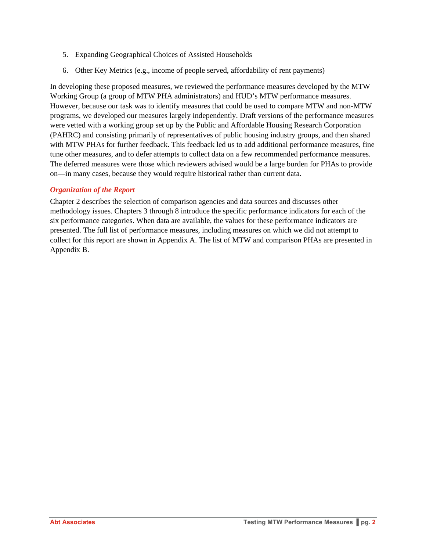- 5. Expanding Geographical Choices of Assisted Households
- 6. Other Key Metrics (e.g., income of people served, affordability of rent payments)

In developing these proposed measures, we reviewed the performance measures developed by the MTW Working Group (a group of MTW PHA administrators) and HUD's MTW performance measures. However, because our task was to identify measures that could be used to compare MTW and non-MTW programs, we developed our measures largely independently. Draft versions of the performance measures were vetted with a working group set up by the Public and Affordable Housing Research Corporation (PAHRC) and consisting primarily of representatives of public housing industry groups, and then shared with MTW PHAs for further feedback. This feedback led us to add additional performance measures, fine tune other measures, and to defer attempts to collect data on a few recommended performance measures. The deferred measures were those which reviewers advised would be a large burden for PHAs to provide on—in many cases, because they would require historical rather than current data.

#### *Organization of the Report*

Chapter 2 describes the selection of comparison agencies and data sources and discusses other methodology issues. Chapters 3 through 8 introduce the specific performance indicators for each of the six performance categories. When data are available, the values for these performance indicators are presented. The full list of performance measures, including measures on which we did not attempt to collect for this report are shown in Appendix A. The list of MTW and comparison PHAs are presented in Appendix B.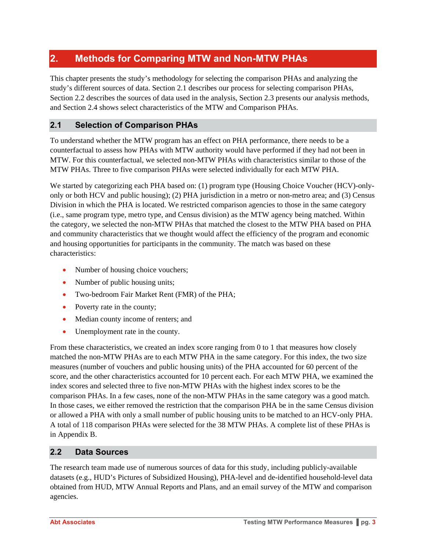## **2. Methods for Comparing MTW and Non-MTW PHAs**

This chapter presents the study's methodology for selecting the comparison PHAs and analyzing the study's different sources of data. Section 2.1 describes our process for selecting comparison PHAs, Section 2.2 describes the sources of data used in the analysis, Section 2.3 presents our analysis methods, and Section 2.4 shows select characteristics of the MTW and Comparison PHAs.

#### **2.1 Selection of Comparison PHAs**

To understand whether the MTW program has an effect on PHA performance, there needs to be a counterfactual to assess how PHAs with MTW authority would have performed if they had not been in MTW. For this counterfactual, we selected non-MTW PHAs with characteristics similar to those of the MTW PHAs. Three to five comparison PHAs were selected individually for each MTW PHA.

We started by categorizing each PHA based on: (1) program type (Housing Choice Voucher (HCV)-onlyonly or both HCV and public housing); (2) PHA jurisdiction in a metro or non-metro area; and (3) Census Division in which the PHA is located. We restricted comparison agencies to those in the same category (i.e., same program type, metro type, and Census division) as the MTW agency being matched. Within the category, we selected the non-MTW PHAs that matched the closest to the MTW PHA based on PHA and community characteristics that we thought would affect the efficiency of the program and economic and housing opportunities for participants in the community. The match was based on these characteristics:

- Number of housing choice vouchers;
- Number of public housing units;
- Two-bedroom Fair Market Rent (FMR) of the PHA;
- Poverty rate in the county;
- Median county income of renters; and
- Unemployment rate in the county.

From these characteristics, we created an index score ranging from 0 to 1 that measures how closely matched the non-MTW PHAs are to each MTW PHA in the same category. For this index, the two size measures (number of vouchers and public housing units) of the PHA accounted for 60 percent of the score, and the other characteristics accounted for 10 percent each. For each MTW PHA, we examined the index scores and selected three to five non-MTW PHAs with the highest index scores to be the comparison PHAs. In a few cases, none of the non-MTW PHAs in the same category was a good match. In those cases, we either removed the restriction that the comparison PHA be in the same Census division or allowed a PHA with only a small number of public housing units to be matched to an HCV-only PHA. A total of 118 comparison PHAs were selected for the 38 MTW PHAs. A complete list of these PHAs is in Appendix B.

#### **2.2 Data Sources**

The research team made use of numerous sources of data for this study, including publicly-available datasets (e.g., HUD's Pictures of Subsidized Housing), PHA-level and de-identified household-level data obtained from HUD, MTW Annual Reports and Plans, and an email survey of the MTW and comparison agencies.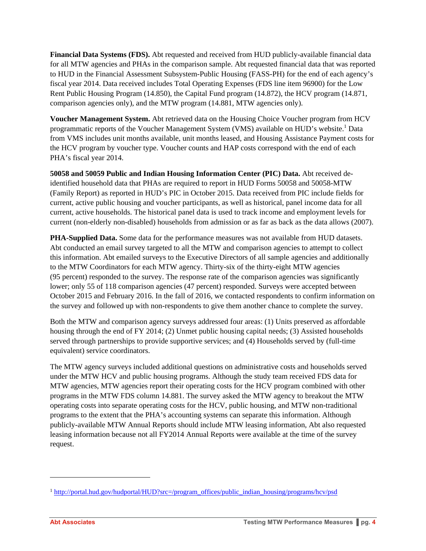**Financial Data Systems (FDS).** Abt requested and received from HUD publicly-available financial data for all MTW agencies and PHAs in the comparison sample. Abt requested financial data that was reported to HUD in the Financial Assessment Subsystem-Public Housing (FASS-PH) for the end of each agency's fiscal year 2014. Data received includes Total Operating Expenses (FDS line item 96900) for the Low Rent Public Housing Program (14.850), the Capital Fund program (14.872), the HCV program (14.871, comparison agencies only), and the MTW program (14.881, MTW agencies only).

**Voucher Management System.** Abt retrieved data on the Housing Choice Voucher program from HCV programmatic reports of the Voucher Management System (VMS) available on HUD's website.<sup>1</sup> Data from VMS includes unit months available, unit months leased, and Housing Assistance Payment costs for the HCV program by voucher type. Voucher counts and HAP costs correspond with the end of each PHA's fiscal year 2014.

**50058 and 50059 Public and Indian Housing Information Center (PIC) Data.** Abt received deidentified household data that PHAs are required to report in HUD Forms 50058 and 50058-MTW (Family Report) as reported in HUD's PIC in October 2015. Data received from PIC include fields for current, active public housing and voucher participants, as well as historical, panel income data for all current, active households. The historical panel data is used to track income and employment levels for current (non-elderly non-disabled) households from admission or as far as back as the data allows (2007).

**PHA-Supplied Data.** Some data for the performance measures was not available from HUD datasets. Abt conducted an email survey targeted to all the MTW and comparison agencies to attempt to collect this information. Abt emailed surveys to the Executive Directors of all sample agencies and additionally to the MTW Coordinators for each MTW agency. Thirty-six of the thirty-eight MTW agencies (95 percent) responded to the survey. The response rate of the comparison agencies was significantly lower; only 55 of 118 comparison agencies (47 percent) responded. Surveys were accepted between October 2015 and February 2016. In the fall of 2016, we contacted respondents to confirm information on the survey and followed up with non-respondents to give them another chance to complete the survey.

Both the MTW and comparison agency surveys addressed four areas: (1) Units preserved as affordable housing through the end of FY 2014; (2) Unmet public housing capital needs; (3) Assisted households served through partnerships to provide supportive services; and (4) Households served by (full-time equivalent) service coordinators.

The MTW agency surveys included additional questions on administrative costs and households served under the MTW HCV and public housing programs. Although the study team received FDS data for MTW agencies, MTW agencies report their operating costs for the HCV program combined with other programs in the MTW FDS column 14.881. The survey asked the MTW agency to breakout the MTW operating costs into separate operating costs for the HCV, public housing, and MTW non-traditional programs to the extent that the PHA's accounting systems can separate this information. Although publicly-available MTW Annual Reports should include MTW leasing information, Abt also requested leasing information because not all FY2014 Annual Reports were available at the time of the survey request.

l

<sup>&</sup>lt;sup>1</sup> http://portal.hud.gov/hudportal/HUD?src=/program\_offices/public\_indian\_housing/programs/hcv/psd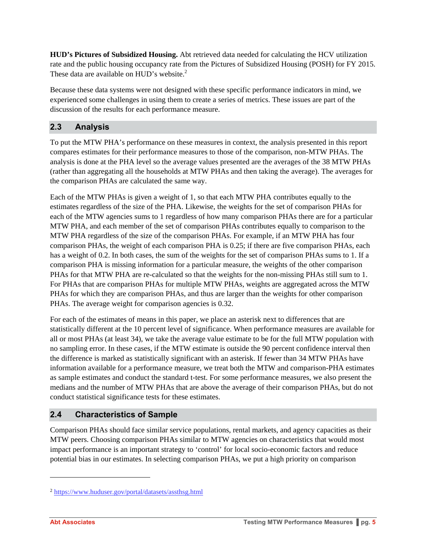**HUD's Pictures of Subsidized Housing.** Abt retrieved data needed for calculating the HCV utilization rate and the public housing occupancy rate from the Pictures of Subsidized Housing (POSH) for FY 2015. These data are available on HUD's website.<sup>2</sup>

Because these data systems were not designed with these specific performance indicators in mind, we experienced some challenges in using them to create a series of metrics. These issues are part of the discussion of the results for each performance measure.

#### **2.3 Analysis**

To put the MTW PHA's performance on these measures in context, the analysis presented in this report compares estimates for their performance measures to those of the comparison, non-MTW PHAs. The analysis is done at the PHA level so the average values presented are the averages of the 38 MTW PHAs (rather than aggregating all the households at MTW PHAs and then taking the average). The averages for the comparison PHAs are calculated the same way.

Each of the MTW PHAs is given a weight of 1, so that each MTW PHA contributes equally to the estimates regardless of the size of the PHA. Likewise, the weights for the set of comparison PHAs for each of the MTW agencies sums to 1 regardless of how many comparison PHAs there are for a particular MTW PHA, and each member of the set of comparison PHAs contributes equally to comparison to the MTW PHA regardless of the size of the comparison PHAs. For example, if an MTW PHA has four comparison PHAs, the weight of each comparison PHA is 0.25; if there are five comparison PHAs, each has a weight of 0.2. In both cases, the sum of the weights for the set of comparison PHAs sums to 1. If a comparison PHA is missing information for a particular measure, the weights of the other comparison PHAs for that MTW PHA are re-calculated so that the weights for the non-missing PHAs still sum to 1. For PHAs that are comparison PHAs for multiple MTW PHAs, weights are aggregated across the MTW PHAs for which they are comparison PHAs, and thus are larger than the weights for other comparison PHAs. The average weight for comparison agencies is 0.32.

For each of the estimates of means in this paper, we place an asterisk next to differences that are statistically different at the 10 percent level of significance. When performance measures are available for all or most PHAs (at least 34), we take the average value estimate to be for the full MTW population with no sampling error. In these cases, if the MTW estimate is outside the 90 percent confidence interval then the difference is marked as statistically significant with an asterisk. If fewer than 34 MTW PHAs have information available for a performance measure, we treat both the MTW and comparison-PHA estimates as sample estimates and conduct the standard t-test. For some performance measures, we also present the medians and the number of MTW PHAs that are above the average of their comparison PHAs, but do not conduct statistical significance tests for these estimates.

#### **2.4 Characteristics of Sample**

Comparison PHAs should face similar service populations, rental markets, and agency capacities as their MTW peers. Choosing comparison PHAs similar to MTW agencies on characteristics that would most impact performance is an important strategy to 'control' for local socio-economic factors and reduce potential bias in our estimates. In selecting comparison PHAs, we put a high priority on comparison

l

<sup>&</sup>lt;sup>2</sup> https://www.huduser.gov/portal/datasets/assthsg.html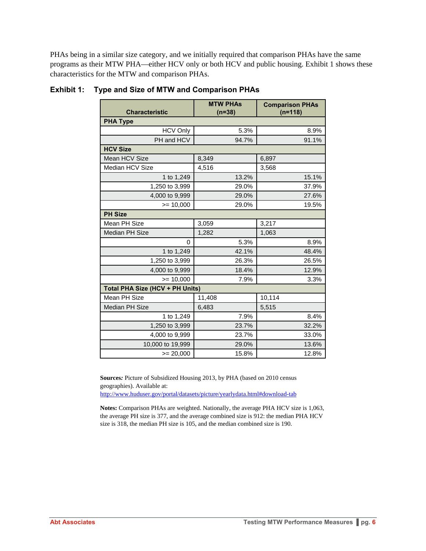PHAs being in a similar size category, and we initially required that comparison PHAs have the same programs as their MTW PHA—either HCV only or both HCV and public housing. Exhibit 1 shows these characteristics for the MTW and comparison PHAs.

| <b>Characteristic</b>           | <b>MTW PHAs</b><br>$(n=38)$ | <b>Comparison PHAs</b><br>$(n=118)$ |
|---------------------------------|-----------------------------|-------------------------------------|
| <b>PHA Type</b>                 |                             |                                     |
| <b>HCV Only</b>                 | 5.3%                        | 8.9%                                |
| PH and HCV                      | 94.7%                       | 91.1%                               |
| <b>HCV Size</b>                 |                             |                                     |
| Mean HCV Size                   | 8,349                       | 6,897                               |
| <b>Median HCV Size</b>          | 4,516                       | 3,568                               |
| 1 to 1,249                      | 13.2%                       | 15.1%                               |
| 1,250 to 3,999                  | 29.0%                       | 37.9%                               |
| 4,000 to 9,999                  | 29.0%                       | 27.6%                               |
| $= 10,000$                      | 29.0%                       | 19.5%                               |
| <b>PH Size</b>                  |                             |                                     |
| Mean PH Size                    | 3,059                       | 3,217                               |
| <b>Median PH Size</b>           | 1,282                       | 1,063                               |
| $\Omega$                        | 5.3%                        | 8.9%                                |
| 1 to 1,249                      | 42.1%                       | 48.4%                               |
| 1,250 to 3,999                  | 26.3%                       | 26.5%                               |
| 4,000 to 9,999                  | 18.4%                       | 12.9%                               |
| $>= 10,000$                     | 7.9%                        | 3.3%                                |
| Total PHA Size (HCV + PH Units) |                             |                                     |
| Mean PH Size                    | 11,408                      | 10,114                              |
| Median PH Size                  | 6,483                       | 5,515                               |
| 1 to 1,249                      | 7.9%                        | 8.4%                                |
| 1,250 to 3,999                  | 23.7%                       | 32.2%                               |
| 4,000 to 9,999                  | 23.7%                       | 33.0%                               |
| 10,000 to 19,999                | 29.0%                       | 13.6%                               |
| $>= 20,000$                     | 15.8%                       | 12.8%                               |

#### **Exhibit 1: Type and Size of MTW and Comparison PHAs**

**Sources***:* Picture of Subsidized Housing 2013, by PHA (based on 2010 census geographies). Available at: http://www.huduser.gov/portal/datasets/picture/yearlydata.html#download-tab

**Notes:** Comparison PHAs are weighted. Nationally, the average PHA HCV size is 1,063, the average PH size is 377, and the average combined size is 912: the median PHA HCV size is 318, the median PH size is 105, and the median combined size is 190.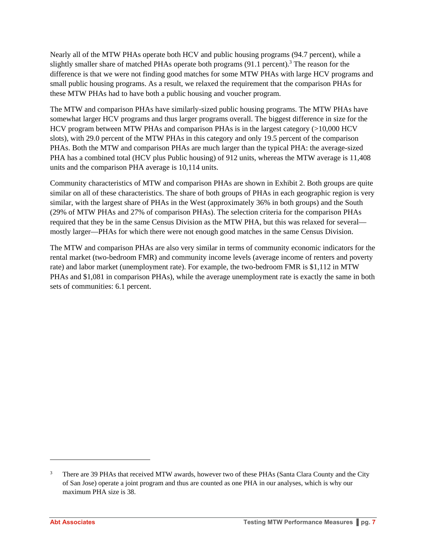Nearly all of the MTW PHAs operate both HCV and public housing programs (94.7 percent), while a slightly smaller share of matched PHAs operate both programs  $(91.1 \text{ percent})$ .<sup>3</sup> The reason for the difference is that we were not finding good matches for some MTW PHAs with large HCV programs and small public housing programs. As a result, we relaxed the requirement that the comparison PHAs for these MTW PHAs had to have both a public housing and voucher program.

The MTW and comparison PHAs have similarly-sized public housing programs. The MTW PHAs have somewhat larger HCV programs and thus larger programs overall. The biggest difference in size for the HCV program between MTW PHAs and comparison PHAs is in the largest category (>10,000 HCV slots), with 29.0 percent of the MTW PHAs in this category and only 19.5 percent of the comparison PHAs. Both the MTW and comparison PHAs are much larger than the typical PHA: the average-sized PHA has a combined total (HCV plus Public housing) of 912 units, whereas the MTW average is 11,408 units and the comparison PHA average is 10,114 units.

Community characteristics of MTW and comparison PHAs are shown in Exhibit 2. Both groups are quite similar on all of these characteristics. The share of both groups of PHAs in each geographic region is very similar, with the largest share of PHAs in the West (approximately 36% in both groups) and the South (29% of MTW PHAs and 27% of comparison PHAs). The selection criteria for the comparison PHAs required that they be in the same Census Division as the MTW PHA, but this was relaxed for several mostly larger—PHAs for which there were not enough good matches in the same Census Division.

The MTW and comparison PHAs are also very similar in terms of community economic indicators for the rental market (two-bedroom FMR) and community income levels (average income of renters and poverty rate) and labor market (unemployment rate). For example, the two-bedroom FMR is \$1,112 in MTW PHAs and \$1,081 in comparison PHAs), while the average unemployment rate is exactly the same in both sets of communities: 6.1 percent.

l

<sup>3</sup> There are 39 PHAs that received MTW awards, however two of these PHAs (Santa Clara County and the City of San Jose) operate a joint program and thus are counted as one PHA in our analyses, which is why our maximum PHA size is 38.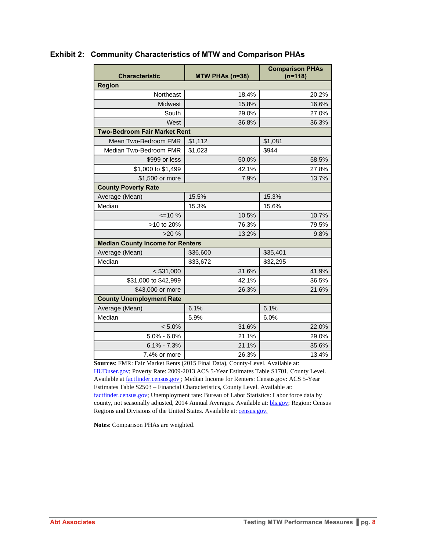| <b>Characteristic</b>                   | MTW PHAs (n=38) | <b>Comparison PHAs</b><br>$(n=118)$ |
|-----------------------------------------|-----------------|-------------------------------------|
| <b>Region</b>                           |                 |                                     |
| Northeast                               | 18.4%           | 20.2%                               |
| <b>Midwest</b>                          | 15.8%           | 16.6%                               |
| South                                   | 29.0%           | 27.0%                               |
| West                                    | 36.8%           | 36.3%                               |
| <b>Two-Bedroom Fair Market Rent</b>     |                 |                                     |
| Mean Two-Bedroom FMR                    | \$1,112         | \$1,081                             |
| Median Two-Bedroom FMR                  | \$1,023         | \$944                               |
| \$999 or less                           | 50.0%           | 58.5%                               |
| \$1,000 to \$1,499                      | 42.1%           | 27.8%                               |
| \$1,500 or more                         | 7.9%            | 13.7%                               |
| <b>County Poverty Rate</b>              |                 |                                     |
| Average (Mean)                          | 15.5%           | 15.3%                               |
| Median                                  | 15.3%           | 15.6%                               |
| $\leq$ 10 %                             | 10.5%           | 10.7%                               |
| >10 to 20%                              | 76.3%           | 79.5%                               |
| >20%                                    | 13.2%           | 9.8%                                |
| <b>Median County Income for Renters</b> |                 |                                     |
| Average (Mean)                          | \$36,600        | \$35,401                            |
| Median                                  | \$33,672        | \$32,295                            |
| $<$ \$31,000                            | 31.6%           | 41.9%                               |
| \$31,000 to \$42,999                    | 42.1%           | 36.5%                               |
| \$43,000 or more                        | 26.3%           | 21.6%                               |
| <b>County Unemployment Rate</b>         |                 |                                     |
| Average (Mean)                          | 6.1%            | 6.1%                                |
| Median                                  | 5.9%            | 6.0%                                |
| $< 5.0\%$                               | 31.6%           | 22.0%                               |
| $5.0\% - 6.0\%$                         | 21.1%           | 29.0%                               |
| $6.1\% - 7.3\%$                         | 21.1%           | 35.6%                               |
| 7.4% or more                            | 26.3%           | 13.4%                               |

#### **Exhibit 2: Community Characteristics of MTW and Comparison PHAs**

**Sources**: FMR: Fair Market Rents (2015 Final Data), County-Level. Available at: HUDuser.gov; Poverty Rate: 2009-2013 ACS 5-Year Estimates Table S1701, County Level. Available at **factfinder.census.gov**; Median Income for Renters: Census.gov: ACS 5-Year Estimates Table S2503 – Financial Characteristics, County Level. Available at: factfinder.census.gov; Unemployment rate: Bureau of Labor Statistics: Labor force data by county, not seasonally adjusted, 2014 Annual Averages. Available at: **bls.gov**; Region: Census Regions and Divisions of the United States. Available at: census.gov.

**Notes**: Comparison PHAs are weighted.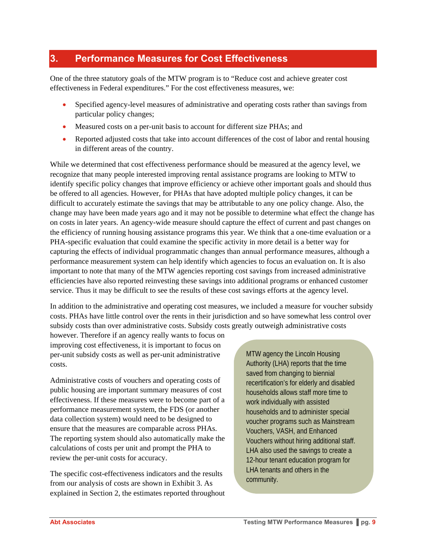### **3. Performance Measures for Cost Effectiveness**

One of the three statutory goals of the MTW program is to "Reduce cost and achieve greater cost effectiveness in Federal expenditures." For the cost effectiveness measures, we:

- Specified agency-level measures of administrative and operating costs rather than savings from particular policy changes;
- Measured costs on a per-unit basis to account for different size PHAs; and
- Reported adjusted costs that take into account differences of the cost of labor and rental housing in different areas of the country.

While we determined that cost effectiveness performance should be measured at the agency level, we recognize that many people interested improving rental assistance programs are looking to MTW to identify specific policy changes that improve efficiency or achieve other important goals and should thus be offered to all agencies. However, for PHAs that have adopted multiple policy changes, it can be difficult to accurately estimate the savings that may be attributable to any one policy change. Also, the change may have been made years ago and it may not be possible to determine what effect the change has on costs in later years. An agency-wide measure should capture the effect of current and past changes on the efficiency of running housing assistance programs this year. We think that a one-time evaluation or a PHA-specific evaluation that could examine the specific activity in more detail is a better way for capturing the effects of individual programmatic changes than annual performance measures, although a performance measurement system can help identify which agencies to focus an evaluation on. It is also important to note that many of the MTW agencies reporting cost savings from increased administrative efficiencies have also reported reinvesting these savings into additional programs or enhanced customer service. Thus it may be difficult to see the results of these cost savings efforts at the agency level.

In addition to the administrative and operating cost measures, we included a measure for voucher subsidy costs. PHAs have little control over the rents in their jurisdiction and so have somewhat less control over subsidy costs than over administrative costs. Subsidy costs greatly outweigh administrative costs

however. Therefore if an agency really wants to focus on improving cost effectiveness, it is important to focus on per-unit subsidy costs as well as per-unit administrative costs.

Administrative costs of vouchers and operating costs of public housing are important summary measures of cost effectiveness. If these measures were to become part of a performance measurement system, the FDS (or another data collection system) would need to be designed to ensure that the measures are comparable across PHAs. The reporting system should also automatically make the calculations of costs per unit and prompt the PHA to review the per-unit costs for accuracy.

The specific cost-effectiveness indicators and the results from our analysis of costs are shown in Exhibit 3. As explained in Section 2, the estimates reported throughout MTW agency the Lincoln Housing Authority (LHA) reports that the time saved from changing to biennial recertification's for elderly and disabled households allows staff more time to work individually with assisted households and to administer special voucher programs such as Mainstream Vouchers, VASH, and Enhanced Vouchers without hiring additional staff. LHA also used the savings to create a 12-hour tenant education program for LHA tenants and others in the community.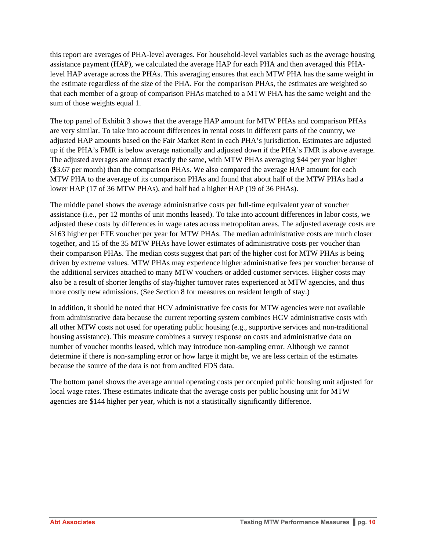this report are averages of PHA-level averages. For household-level variables such as the average housing assistance payment (HAP), we calculated the average HAP for each PHA and then averaged this PHAlevel HAP average across the PHAs. This averaging ensures that each MTW PHA has the same weight in the estimate regardless of the size of the PHA. For the comparison PHAs, the estimates are weighted so that each member of a group of comparison PHAs matched to a MTW PHA has the same weight and the sum of those weights equal 1.

The top panel of Exhibit 3 shows that the average HAP amount for MTW PHAs and comparison PHAs are very similar. To take into account differences in rental costs in different parts of the country, we adjusted HAP amounts based on the Fair Market Rent in each PHA's jurisdiction. Estimates are adjusted up if the PHA's FMR is below average nationally and adjusted down if the PHA's FMR is above average. The adjusted averages are almost exactly the same, with MTW PHAs averaging \$44 per year higher (\$3.67 per month) than the comparison PHAs. We also compared the average HAP amount for each MTW PHA to the average of its comparison PHAs and found that about half of the MTW PHAs had a lower HAP (17 of 36 MTW PHAs), and half had a higher HAP (19 of 36 PHAs).

The middle panel shows the average administrative costs per full-time equivalent year of voucher assistance (i.e., per 12 months of unit months leased). To take into account differences in labor costs, we adjusted these costs by differences in wage rates across metropolitan areas. The adjusted average costs are \$163 higher per FTE voucher per year for MTW PHAs. The median administrative costs are much closer together, and 15 of the 35 MTW PHAs have lower estimates of administrative costs per voucher than their comparison PHAs. The median costs suggest that part of the higher cost for MTW PHAs is being driven by extreme values. MTW PHAs may experience higher administrative fees per voucher because of the additional services attached to many MTW vouchers or added customer services. Higher costs may also be a result of shorter lengths of stay/higher turnover rates experienced at MTW agencies, and thus more costly new admissions. (See Section 8 for measures on resident length of stay.)

In addition, it should be noted that HCV administrative fee costs for MTW agencies were not available from administrative data because the current reporting system combines HCV administrative costs with all other MTW costs not used for operating public housing (e.g., supportive services and non-traditional housing assistance). This measure combines a survey response on costs and administrative data on number of voucher months leased, which may introduce non-sampling error. Although we cannot determine if there is non-sampling error or how large it might be, we are less certain of the estimates because the source of the data is not from audited FDS data.

The bottom panel shows the average annual operating costs per occupied public housing unit adjusted for local wage rates. These estimates indicate that the average costs per public housing unit for MTW agencies are \$144 higher per year, which is not a statistically significantly difference.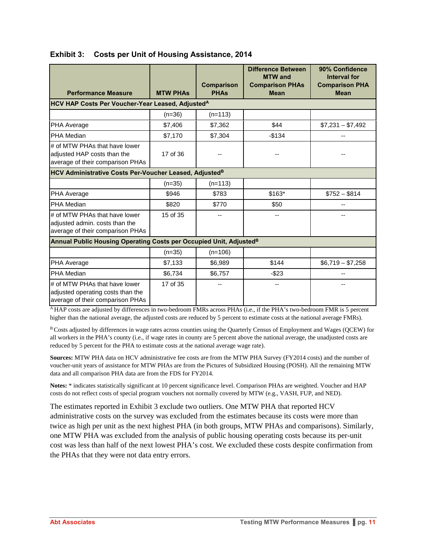| <b>Performance Measure</b>                                                                             | <b>MTW PHAS</b> | <b>Comparison</b><br><b>PHAs</b> | <b>Difference Between</b><br><b>MTW</b> and<br><b>Comparison PHAs</b><br><b>Mean</b> | 90% Confidence<br><b>Interval for</b><br><b>Comparison PHA</b><br><b>Mean</b> |
|--------------------------------------------------------------------------------------------------------|-----------------|----------------------------------|--------------------------------------------------------------------------------------|-------------------------------------------------------------------------------|
| <b>HCV HAP Costs Per Voucher-Year Leased, AdjustedA</b>                                                |                 |                                  |                                                                                      |                                                                               |
|                                                                                                        | $(n=36)$        | $(n=113)$                        |                                                                                      |                                                                               |
| <b>PHA Average</b>                                                                                     | \$7,406         | \$7,362                          | \$44                                                                                 | $$7,231 - $7,492$                                                             |
| <b>PHA Median</b>                                                                                      | \$7,170         | \$7,304                          | $-$134$                                                                              |                                                                               |
| # of MTW PHAs that have lower<br>adjusted HAP costs than the<br>average of their comparison PHAs       | 17 of 36        |                                  |                                                                                      |                                                                               |
| HCV Administrative Costs Per-Voucher Leased, Adjusted <sup>B</sup>                                     |                 |                                  |                                                                                      |                                                                               |
|                                                                                                        | $(n=35)$        | $(n=113)$                        |                                                                                      |                                                                               |
| <b>PHA Average</b>                                                                                     | \$946           | \$783                            | $$163*$                                                                              | $$752 - $814$                                                                 |
| <b>PHA Median</b>                                                                                      | \$820           | \$770                            | \$50                                                                                 |                                                                               |
| # of MTW PHAs that have lower<br>adjusted admin. costs than the<br>average of their comparison PHAs    | 15 of 35        |                                  |                                                                                      |                                                                               |
| Annual Public Housing Operating Costs per Occupied Unit, Adjusted <sup>B</sup>                         |                 |                                  |                                                                                      |                                                                               |
|                                                                                                        | $(n=35)$        | $(n=106)$                        |                                                                                      |                                                                               |
| PHA Average                                                                                            | \$7,133         | \$6,989                          | \$144                                                                                | $$6,719 - $7,258$                                                             |
| PHA Median                                                                                             | \$6,734         | \$6,757                          | $-$ \$23                                                                             |                                                                               |
| # of MTW PHAs that have lower<br>adjusted operating costs than the<br>average of their comparison PHAs | 17 of 35        |                                  |                                                                                      |                                                                               |

#### **Exhibit 3: Costs per Unit of Housing Assistance, 2014**

A HAP costs are adjusted by differences in two-bedroom FMRs across PHAs (i.e., if the PHA's two-bedroom FMR is 5 percent higher than the national average, the adjusted costs are reduced by 5 percent to estimate costs at the national average FMRs).

B Costs adjusted by differences in wage rates across counties using the Quarterly Census of Employment and Wages (QCEW) for all workers in the PHA's county (i.e., if wage rates in county are 5 percent above the national average, the unadjusted costs are reduced by 5 percent for the PHA to estimate costs at the national average wage rate).

**Sources:** MTW PHA data on HCV administrative fee costs are from the MTW PHA Survey (FY2014 costs) and the number of voucher-unit years of assistance for MTW PHAs are from the Pictures of Subsidized Housing (POSH). All the remaining MTW data and all comparison PHA data are from the FDS for FY2014.

**Notes:** \* indicates statistically significant at 10 percent significance level. Comparison PHAs are weighted. Voucher and HAP costs do not reflect costs of special program vouchers not normally covered by MTW (e.g., VASH, FUP, and NED).

The estimates reported in Exhibit 3 exclude two outliers. One MTW PHA that reported HCV administrative costs on the survey was excluded from the estimates because its costs were more than twice as high per unit as the next highest PHA (in both groups, MTW PHAs and comparisons). Similarly, one MTW PHA was excluded from the analysis of public housing operating costs because its per-unit cost was less than half of the next lowest PHA's cost. We excluded these costs despite confirmation from the PHAs that they were not data entry errors.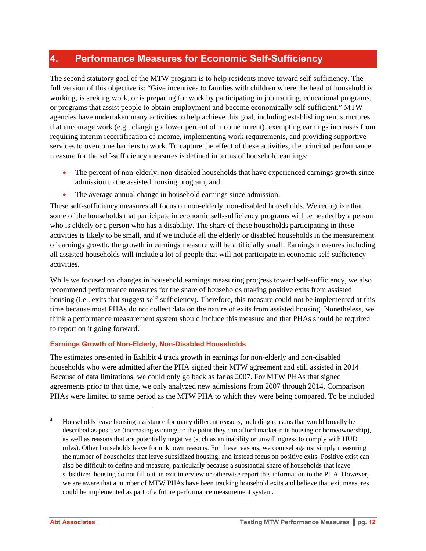### **4. Performance Measures for Economic Self-Sufficiency**

The second statutory goal of the MTW program is to help residents move toward self-sufficiency. The full version of this objective is: "Give incentives to families with children where the head of household is working, is seeking work, or is preparing for work by participating in job training, educational programs, or programs that assist people to obtain employment and become economically self-sufficient." MTW agencies have undertaken many activities to help achieve this goal, including establishing rent structures that encourage work (e.g., charging a lower percent of income in rent), exempting earnings increases from requiring interim recertification of income, implementing work requirements, and providing supportive services to overcome barriers to work. To capture the effect of these activities, the principal performance measure for the self-sufficiency measures is defined in terms of household earnings:

- The percent of non-elderly, non-disabled households that have experienced earnings growth since admission to the assisted housing program; and
- The average annual change in household earnings since admission.

These self-sufficiency measures all focus on non-elderly, non-disabled households. We recognize that some of the households that participate in economic self-sufficiency programs will be headed by a person who is elderly or a person who has a disability. The share of these households participating in these activities is likely to be small, and if we include all the elderly or disabled households in the measurement of earnings growth, the growth in earnings measure will be artificially small. Earnings measures including all assisted households will include a lot of people that will not participate in economic self-sufficiency activities.

While we focused on changes in household earnings measuring progress toward self-sufficiency, we also recommend performance measures for the share of households making positive exits from assisted housing (i.e., exits that suggest self-sufficiency). Therefore, this measure could not be implemented at this time because most PHAs do not collect data on the nature of exits from assisted housing. Nonetheless, we think a performance measurement system should include this measure and that PHAs should be required to report on it going forward.<sup>4</sup>

#### **Earnings Growth of Non-Elderly, Non-Disabled Households**

The estimates presented in Exhibit 4 track growth in earnings for non-elderly and non-disabled households who were admitted after the PHA signed their MTW agreement and still assisted in 2014 Because of data limitations, we could only go back as far as 2007. For MTW PHAs that signed agreements prior to that time, we only analyzed new admissions from 2007 through 2014. Comparison PHAs were limited to same period as the MTW PHA to which they were being compared. To be included

l

<sup>4</sup> Households leave housing assistance for many different reasons, including reasons that would broadly be described as positive (increasing earnings to the point they can afford market-rate housing or homeownership), as well as reasons that are potentially negative (such as an inability or unwillingness to comply with HUD rules). Other households leave for unknown reasons. For these reasons, we counsel against simply measuring the number of households that leave subsidized housing, and instead focus on positive exits. Positive exist can also be difficult to define and measure, particularly because a substantial share of households that leave subsidized housing do not fill out an exit interview or otherwise report this information to the PHA. However, we are aware that a number of MTW PHAs have been tracking household exits and believe that exit measures could be implemented as part of a future performance measurement system.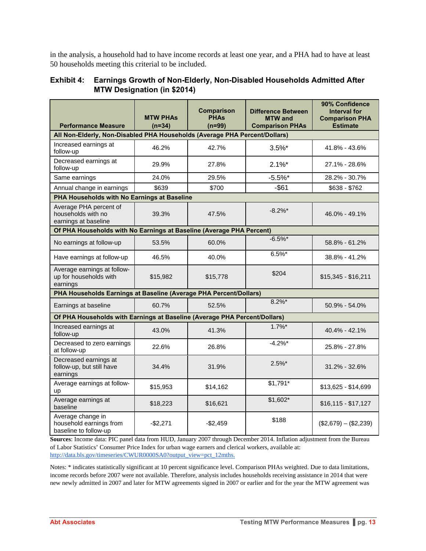in the analysis, a household had to have income records at least one year, and a PHA had to have at least 50 households meeting this criterial to be included.

#### **Exhibit 4: Earnings Growth of Non-Elderly, Non-Disabled Households Admitted After MTW Designation (in \$2014)**

| <b>Performance Measure</b>                                                 | <b>MTW PHAs</b><br>$(n=34)$ | <b>Comparison</b><br><b>PHAs</b><br>$(n=99)$ | <b>Difference Between</b><br><b>MTW</b> and<br><b>Comparison PHAs</b> | 90% Confidence<br><b>Interval for</b><br><b>Comparison PHA</b><br><b>Estimate</b> |
|----------------------------------------------------------------------------|-----------------------------|----------------------------------------------|-----------------------------------------------------------------------|-----------------------------------------------------------------------------------|
| All Non-Elderly, Non-Disabled PHA Households (Average PHA Percent/Dollars) |                             |                                              |                                                                       |                                                                                   |
| Increased earnings at<br>follow-up                                         | 46.2%                       | 42.7%                                        | $3.5\%$ *                                                             | 41.8% - 43.6%                                                                     |
| Decreased earnings at<br>follow-up                                         | 29.9%                       | 27.8%                                        | $2.1\%$ *                                                             | 27.1% - 28.6%                                                                     |
| Same earnings                                                              | 24.0%                       | 29.5%                                        | $-5.5%$ *                                                             | 28.2% - 30.7%                                                                     |
| Annual change in earnings                                                  | \$639                       | \$700                                        | $-$61$                                                                | \$638 - \$762                                                                     |
| PHA Households with No Earnings at Baseline                                |                             |                                              |                                                                       |                                                                                   |
| Average PHA percent of<br>households with no<br>earnings at baseline       | 39.3%                       | 47.5%                                        | $-8.2\%$ *                                                            | $46.0\% - 49.1\%$                                                                 |
| Of PHA Households with No Earnings at Baseline (Average PHA Percent)       |                             |                                              |                                                                       |                                                                                   |
| No earnings at follow-up                                                   | 53.5%                       | 60.0%                                        | $-6.5%$ *                                                             | 58.8% - 61.2%                                                                     |
| Have earnings at follow-up                                                 | 46.5%                       | 40.0%                                        | $6.5\%$ *                                                             | 38.8% - 41.2%                                                                     |
| Average earnings at follow-<br>up for households with<br>earnings          | \$15,982                    | \$15,778                                     | \$204                                                                 | $$15,345 - $16,211$                                                               |
| PHA Households Earnings at Baseline (Average PHA Percent/Dollars)          |                             |                                              |                                                                       |                                                                                   |
| Earnings at baseline                                                       | 60.7%                       | 52.5%                                        | $8.2\%$ *                                                             | 50.9% - 54.0%                                                                     |
| Of PHA Households with Earnings at Baseline (Average PHA Percent/Dollars)  |                             |                                              |                                                                       |                                                                                   |
| Increased earnings at<br>follow-up                                         | 43.0%                       | 41.3%                                        | $1.7\%$ *                                                             | 40.4% - 42.1%                                                                     |
| Decreased to zero earnings<br>at follow-up                                 | 22.6%                       | 26.8%                                        | $-4.2%$ *                                                             | 25.8% - 27.8%                                                                     |
| Decreased earnings at<br>follow-up, but still have<br>earnings             | 34.4%                       | 31.9%                                        | $2.5\%$ *                                                             | 31.2% - 32.6%                                                                     |
| Average earnings at follow-<br>up                                          | \$15,953                    | \$14,162                                     | $$1,791*$                                                             | \$13,625 - \$14,699                                                               |
| Average earnings at<br>baseline                                            | \$18,223                    | \$16,621                                     | \$1,602*                                                              | $$16,115 - $17,127$                                                               |
| Average change in<br>household earnings from<br>baseline to follow-up      | $-$ \$2,271                 | $-$2,459$                                    | \$188                                                                 | $($2,679) - ($2,239)$                                                             |

**Sources**: Income data: PIC panel data from HUD, January 2007 through December 2014. Inflation adjustment from the Bureau of Labor Statistics' Consumer Price Index for urban wage earners and clerical workers, available at: http://data.bls.gov/timeseries/CWUR0000SA0?output\_view=pct\_12mths.

Notes: \* indicates statistically significant at 10 percent significance level. Comparison PHAs weighted. Due to data limitations, income records before 2007 were not available. Therefore, analysis includes households receiving assistance in 2014 that were new newly admitted in 2007 and later for MTW agreements signed in 2007 or earlier and for the year the MTW agreement was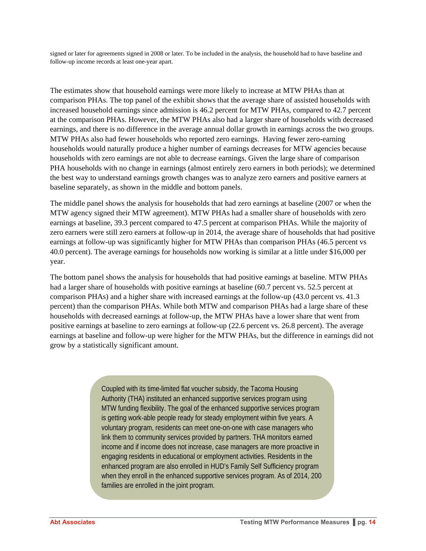signed or later for agreements signed in 2008 or later. To be included in the analysis, the household had to have baseline and follow-up income records at least one-year apart.

The estimates show that household earnings were more likely to increase at MTW PHAs than at comparison PHAs. The top panel of the exhibit shows that the average share of assisted households with increased household earnings since admission is 46.2 percent for MTW PHAs, compared to 42.7 percent at the comparison PHAs. However, the MTW PHAs also had a larger share of households with decreased earnings, and there is no difference in the average annual dollar growth in earnings across the two groups. MTW PHAs also had fewer households who reported zero earnings. Having fewer zero-earning households would naturally produce a higher number of earnings decreases for MTW agencies because households with zero earnings are not able to decrease earnings. Given the large share of comparison PHA households with no change in earnings (almost entirely zero earners in both periods); we determined the best way to understand earnings growth changes was to analyze zero earners and positive earners at baseline separately, as shown in the middle and bottom panels.

The middle panel shows the analysis for households that had zero earnings at baseline (2007 or when the MTW agency signed their MTW agreement). MTW PHAs had a smaller share of households with zero earnings at baseline, 39.3 percent compared to 47.5 percent at comparison PHAs. While the majority of zero earners were still zero earners at follow-up in 2014, the average share of households that had positive earnings at follow-up was significantly higher for MTW PHAs than comparison PHAs (46.5 percent vs 40.0 percent). The average earnings for households now working is similar at a little under \$16,000 per year.

The bottom panel shows the analysis for households that had positive earnings at baseline. MTW PHAs had a larger share of households with positive earnings at baseline (60.7 percent vs. 52.5 percent at comparison PHAs) and a higher share with increased earnings at the follow-up (43.0 percent vs. 41.3 percent) than the comparison PHAs. While both MTW and comparison PHAs had a large share of these households with decreased earnings at follow-up, the MTW PHAs have a lower share that went from positive earnings at baseline to zero earnings at follow-up (22.6 percent vs. 26.8 percent). The average earnings at baseline and follow-up were higher for the MTW PHAs, but the difference in earnings did not grow by a statistically significant amount.

> Coupled with its time-limited flat voucher subsidy, the Tacoma Housing Authority (THA) instituted an enhanced supportive services program using MTW funding flexibility. The goal of the enhanced supportive services program is getting work-able people ready for steady employment within five years. A voluntary program, residents can meet one-on-one with case managers who link them to community services provided by partners. THA monitors earned income and if income does not increase, case managers are more proactive in engaging residents in educational or employment activities. Residents in the enhanced program are also enrolled in HUD's Family Self Sufficiency program when they enroll in the enhanced supportive services program. As of 2014, 200 families are enrolled in the joint program.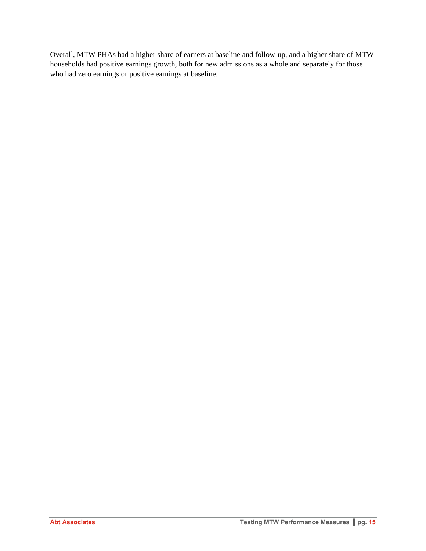Overall, MTW PHAs had a higher share of earners at baseline and follow-up, and a higher share of MTW households had positive earnings growth, both for new admissions as a whole and separately for those who had zero earnings or positive earnings at baseline.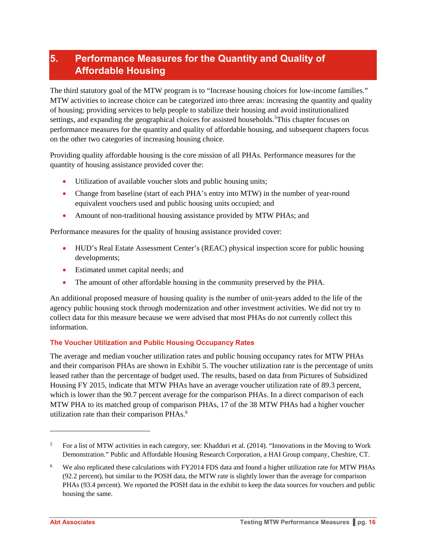## **5. Performance Measures for the Quantity and Quality of Affordable Housing**

The third statutory goal of the MTW program is to "Increase housing choices for low-income families." MTW activities to increase choice can be categorized into three areas: increasing the quantity and quality of housing; providing services to help people to stabilize their housing and avoid institutionalized settings, and expanding the geographical choices for assisted households.<sup>5</sup>This chapter focuses on performance measures for the quantity and quality of affordable housing, and subsequent chapters focus on the other two categories of increasing housing choice.

Providing quality affordable housing is the core mission of all PHAs. Performance measures for the quantity of housing assistance provided cover the:

- Utilization of available voucher slots and public housing units;
- Change from baseline (start of each PHA's entry into MTW) in the number of year-round equivalent vouchers used and public housing units occupied; and
- Amount of non-traditional housing assistance provided by MTW PHAs; and

Performance measures for the quality of housing assistance provided cover:

- HUD's Real Estate Assessment Center's (REAC) physical inspection score for public housing developments;
- Estimated unmet capital needs; and
- The amount of other affordable housing in the community preserved by the PHA.

An additional proposed measure of housing quality is the number of unit-years added to the life of the agency public housing stock through modernization and other investment activities. We did not try to collect data for this measure because we were advised that most PHAs do not currently collect this information.

#### **The Voucher Utilization and Public Housing Occupancy Rates**

The average and median voucher utilization rates and public housing occupancy rates for MTW PHAs and their comparison PHAs are shown in Exhibit 5. The voucher utilization rate is the percentage of units leased rather than the percentage of budget used. The results, based on data from Pictures of Subsidized Housing FY 2015, indicate that MTW PHAs have an average voucher utilization rate of 89.3 percent, which is lower than the 90.7 percent average for the comparison PHAs. In a direct comparison of each MTW PHA to its matched group of comparison PHAs, 17 of the 38 MTW PHAs had a higher voucher utilization rate than their comparison PHAs.<sup>6</sup>

1

<sup>5</sup> For a list of MTW activities in each category, see: Khadduri et al. (2014). "Innovations in the Moving to Work Demonstration." Public and Affordable Housing Research Corporation, a HAI Group company, Cheshire, CT.

<sup>6</sup> We also replicated these calculations with FY2014 FDS data and found a higher utilization rate for MTW PHAs (92.2 percent), but similar to the POSH data, the MTW rate is slightly lower than the average for comparison PHAs (93.4 percent). We reported the POSH data in the exhibit to keep the data sources for vouchers and public housing the same.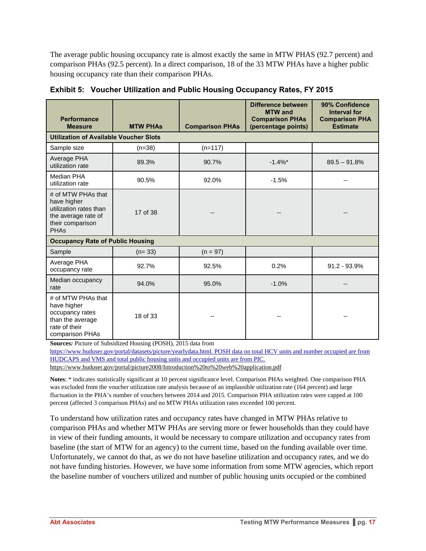The average public housing occupancy rate is almost exactly the same in MTW PHAS (92.7 percent) and comparison PHAs (92.5 percent). In a direct comparison, 18 of the 33 MTW PHAs have a higher public housing occupancy rate than their comparison PHAs.

| <b>Performance</b><br><b>Measure</b>                                                                                  | <b>MTW PHAS</b> | <b>Comparison PHAs</b> | Difference between<br><b>MTW</b> and<br><b>Comparison PHAs</b><br>(percentage points) | 90% Confidence<br><b>Interval for</b><br><b>Comparison PHA</b><br><b>Estimate</b> |
|-----------------------------------------------------------------------------------------------------------------------|-----------------|------------------------|---------------------------------------------------------------------------------------|-----------------------------------------------------------------------------------|
| <b>Utilization of Available Voucher Slots</b>                                                                         |                 |                        |                                                                                       |                                                                                   |
| Sample size                                                                                                           | $(n=38)$        | $(n=117)$              |                                                                                       |                                                                                   |
| Average PHA<br>utilization rate                                                                                       | 89.3%           | 90.7%                  | $-1.4%$                                                                               | $89.5 - 91.8%$                                                                    |
| Median PHA<br>utilization rate                                                                                        | 90.5%           | 92.0%                  | $-1.5%$                                                                               |                                                                                   |
| # of MTW PHAs that<br>have higher<br>utilization rates than<br>the average rate of<br>their comparison<br><b>PHAs</b> | 17 of 38        |                        |                                                                                       |                                                                                   |
| <b>Occupancy Rate of Public Housing</b>                                                                               |                 |                        |                                                                                       |                                                                                   |
| Sample                                                                                                                | $(n=33)$        | $(n = 97)$             |                                                                                       |                                                                                   |
| Average PHA<br>occupancy rate                                                                                         | 92.7%           | 92.5%                  | 0.2%                                                                                  | $91.2 - 93.9\%$                                                                   |
| Median occupancy<br>rate                                                                                              | 94.0%           | 95.0%                  | $-1.0%$                                                                               |                                                                                   |
| # of MTW PHAs that<br>have higher<br>occupancy rates<br>than the average<br>rate of their<br>comparison PHAs          | 18 of 33        |                        |                                                                                       |                                                                                   |

**Exhibit 5: Voucher Utilization and Public Housing Occupancy Rates, FY 2015** 

**Sources***:* Picture of Subsidized Housing (POSH), 2015 data from

https://www.huduser.gov/portal/datasets/picture/yearlydata.html. POSH data on total HCV units and number occupied are from HUDCAPS and VMS and total public housing units and occupied units are from PIC.

https://www.huduser.gov/portal/picture2008/Introduction%20to%20web%20application.pdf

**Notes**: \* indicates statistically significant at 10 percent significance level. Comparison PHAs weighted. One comparison PHA was excluded from the voucher utilization rate analysis because of an implausible utilization rate (164 percent) and large fluctuation in the PHA's number of vouchers between 2014 and 2015. Comparison PHA utilization rates were capped at 100 percent (affected 3 comparison PHAs) and no MTW PHAs utilization rates exceeded 100 percent.

To understand how utilization rates and occupancy rates have changed in MTW PHAs relative to comparison PHAs and whether MTW PHAs are serving more or fewer households than they could have in view of their funding amounts, it would be necessary to compare utilization and occupancy rates from baseline (the start of MTW for an agency) to the current time, based on the funding available over time. Unfortunately, we cannot do that, as we do not have baseline utilization and occupancy rates, and we do not have funding histories. However, we have some information from some MTW agencies, which report the baseline number of vouchers utilized and number of public housing units occupied or the combined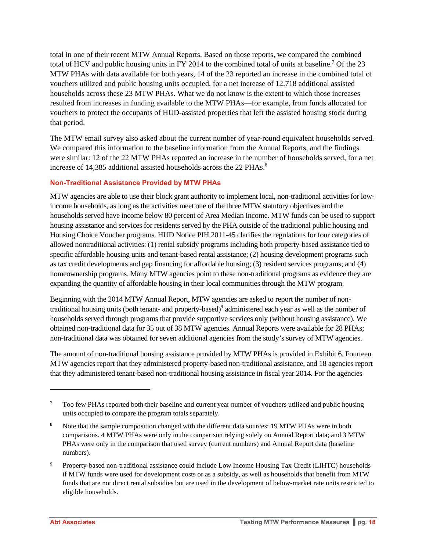total in one of their recent MTW Annual Reports. Based on those reports, we compared the combined total of HCV and public housing units in FY 2014 to the combined total of units at baseline.<sup>7</sup> Of the 23 MTW PHAs with data available for both years, 14 of the 23 reported an increase in the combined total of vouchers utilized and public housing units occupied, for a net increase of 12,718 additional assisted households across these 23 MTW PHAs. What we do not know is the extent to which those increases resulted from increases in funding available to the MTW PHAs—for example, from funds allocated for vouchers to protect the occupants of HUD-assisted properties that left the assisted housing stock during that period.

The MTW email survey also asked about the current number of year-round equivalent households served. We compared this information to the baseline information from the Annual Reports, and the findings were similar: 12 of the 22 MTW PHAs reported an increase in the number of households served, for a net increase of 14,385 additional assisted households across the 22 PHAs. $8$ 

#### **Non-Traditional Assistance Provided by MTW PHAs**

MTW agencies are able to use their block grant authority to implement local, non-traditional activities for lowincome households, as long as the activities meet one of the three MTW statutory objectives and the households served have income below 80 percent of Area Median Income. MTW funds can be used to support housing assistance and services for residents served by the PHA outside of the traditional public housing and Housing Choice Voucher programs. HUD Notice PIH 2011-45 clarifies the regulations for four categories of allowed nontraditional activities: (1) rental subsidy programs including both property-based assistance tied to specific affordable housing units and tenant-based rental assistance; (2) housing development programs such as tax credit developments and gap financing for affordable housing; (3) resident services programs; and (4) homeownership programs. Many MTW agencies point to these non-traditional programs as evidence they are expanding the quantity of affordable housing in their local communities through the MTW program.

Beginning with the 2014 MTW Annual Report, MTW agencies are asked to report the number of nontraditional housing units (both tenant- and property-based)<sup>9</sup> administered each year as well as the number of households served through programs that provide supportive services only (without housing assistance). We obtained non-traditional data for 35 out of 38 MTW agencies. Annual Reports were available for 28 PHAs; non-traditional data was obtained for seven additional agencies from the study's survey of MTW agencies.

The amount of non-traditional housing assistance provided by MTW PHAs is provided in Exhibit 6. Fourteen MTW agencies report that they administered property-based non-traditional assistance, and 18 agencies report that they administered tenant-based non-traditional housing assistance in fiscal year 2014. For the agencies

1

<sup>7</sup> Too few PHAs reported both their baseline and current year number of vouchers utilized and public housing units occupied to compare the program totals separately.

<sup>8</sup> Note that the sample composition changed with the different data sources: 19 MTW PHAs were in both comparisons. 4 MTW PHAs were only in the comparison relying solely on Annual Report data; and 3 MTW PHAs were only in the comparison that used survey (current numbers) and Annual Report data (baseline numbers).

<sup>9</sup> Property-based non-traditional assistance could include Low Income Housing Tax Credit (LIHTC) households if MTW funds were used for development costs or as a subsidy, as well as households that benefit from MTW funds that are not direct rental subsidies but are used in the development of below-market rate units restricted to eligible households.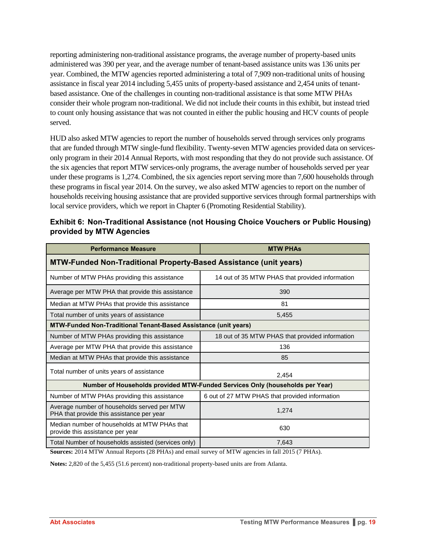reporting administering non-traditional assistance programs, the average number of property-based units administered was 390 per year, and the average number of tenant-based assistance units was 136 units per year. Combined, the MTW agencies reported administering a total of 7,909 non-traditional units of housing assistance in fiscal year 2014 including 5,455 units of property-based assistance and 2,454 units of tenantbased assistance. One of the challenges in counting non-traditional assistance is that some MTW PHAs consider their whole program non-traditional. We did not include their counts in this exhibit, but instead tried to count only housing assistance that was not counted in either the public housing and HCV counts of people served.

HUD also asked MTW agencies to report the number of households served through services only programs that are funded through MTW single-fund flexibility. Twenty-seven MTW agencies provided data on servicesonly program in their 2014 Annual Reports, with most responding that they do not provide such assistance. Of the six agencies that report MTW services-only programs, the average number of households served per year under these programs is 1,274. Combined, the six agencies report serving more than 7,600 households through these programs in fiscal year 2014. On the survey, we also asked MTW agencies to report on the number of households receiving housing assistance that are provided supportive services through formal partnerships with local service providers, which we report in Chapter 6 (Promoting Residential Stability).

| <b>Performance Measure</b>                                                               | <b>MTW PHAS</b>                                                              |
|------------------------------------------------------------------------------------------|------------------------------------------------------------------------------|
| <b>MTW-Funded Non-Traditional Property-Based Assistance (unit years)</b>                 |                                                                              |
| Number of MTW PHAs providing this assistance                                             | 14 out of 35 MTW PHAS that provided information                              |
| Average per MTW PHA that provide this assistance                                         | 390                                                                          |
| Median at MTW PHAs that provide this assistance                                          | 81                                                                           |
| Total number of units years of assistance                                                | 5,455                                                                        |
| <b>MTW-Funded Non-Traditional Tenant-Based Assistance (unit years)</b>                   |                                                                              |
| Number of MTW PHAs providing this assistance                                             | 18 out of 35 MTW PHAS that provided information                              |
| Average per MTW PHA that provide this assistance                                         | 136                                                                          |
| Median at MTW PHAs that provide this assistance                                          | 85                                                                           |
| Total number of units years of assistance                                                | 2.454                                                                        |
|                                                                                          | Number of Households provided MTW-Funded Services Only (households per Year) |
| Number of MTW PHAs providing this assistance                                             | 6 out of 27 MTW PHAS that provided information                               |
| Average number of households served per MTW<br>PHA that provide this assistance per year | 1,274                                                                        |
| Median number of households at MTW PHAs that<br>provide this assistance per year         | 630                                                                          |
| Total Number of households assisted (services only)                                      | 7,643                                                                        |

| Exhibit 6: Non-Traditional Assistance (not Housing Choice Vouchers or Public Housing) |
|---------------------------------------------------------------------------------------|
| provided by MTW Agencies                                                              |

**Sources:** 2014 MTW Annual Reports (28 PHAs) and email survey of MTW agencies in fall 2015 (7 PHAs).

**Notes:** 2,820 of the 5,455 (51.6 percent) non-traditional property-based units are from Atlanta.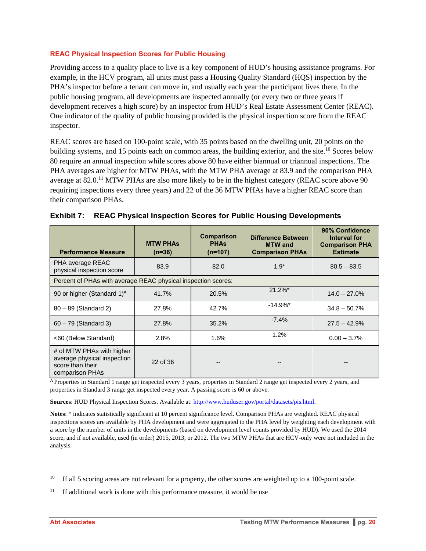#### **REAC Physical Inspection Scores for Public Housing**

Providing access to a quality place to live is a key component of HUD's housing assistance programs. For example, in the HCV program, all units must pass a Housing Quality Standard (HQS) inspection by the PHA's inspector before a tenant can move in, and usually each year the participant lives there. In the public housing program, all developments are inspected annually (or every two or three years if development receives a high score) by an inspector from HUD's Real Estate Assessment Center (REAC). One indicator of the quality of public housing provided is the physical inspection score from the REAC inspector.

REAC scores are based on 100-point scale, with 35 points based on the dwelling unit, 20 points on the building systems, and 15 points each on common areas, the building exterior, and the site.<sup>10</sup> Scores below 80 require an annual inspection while scores above 80 have either biannual or triannual inspections. The PHA averages are higher for MTW PHAs, with the MTW PHA average at 83.9 and the comparison PHA average at 82.0.<sup>11</sup> MTW PHAs are also more likely to be in the highest category (REAC score above 90 requiring inspections every three years) and 22 of the 36 MTW PHAs have a higher REAC score than their comparison PHAs.

| <b>Performance Measure</b>                                                                      | <b>MTW PHAS</b><br>$(n=36)$ | <b>Comparison</b><br><b>PHAs</b><br>$(n=107)$ | <b>Difference Between</b><br><b>MTW</b> and<br><b>Comparison PHAs</b> | 90% Confidence<br>Interval for<br><b>Comparison PHA</b><br><b>Estimate</b> |
|-------------------------------------------------------------------------------------------------|-----------------------------|-----------------------------------------------|-----------------------------------------------------------------------|----------------------------------------------------------------------------|
| PHA average REAC<br>physical inspection score                                                   | 83.9                        | 82.0                                          | $1.9*$                                                                | $80.5 - 83.5$                                                              |
| Percent of PHAs with average REAC physical inspection scores:                                   |                             |                                               |                                                                       |                                                                            |
| 90 or higher (Standard 1) <sup>A</sup>                                                          | 41.7%                       | 20.5%                                         | $21.2\%$ *                                                            | $14.0 - 27.0%$                                                             |
| 80 - 89 (Standard 2)                                                                            | 27.8%                       | 42.7%                                         | $-14.9%$ *                                                            | $34.8 - 50.7\%$                                                            |
| $60 - 79$ (Standard 3)                                                                          | 27.8%                       | 35.2%                                         | $-7.4%$                                                               | $27.5 - 42.9\%$                                                            |
| <60 (Below Standard)                                                                            | 2.8%                        | 1.6%                                          | 1.2%                                                                  | $0.00 - 3.7\%$                                                             |
| # of MTW PHAs with higher<br>average physical inspection<br>score than their<br>comparison PHAs | 22 of 36                    |                                               |                                                                       |                                                                            |

|  |  |  |  |  | Exhibit 7: REAC Physical Inspection Scores for Public Housing Developments |
|--|--|--|--|--|----------------------------------------------------------------------------|
|--|--|--|--|--|----------------------------------------------------------------------------|

 $\overline{A}$  Properties in Standard 1 range get inspected every 3 years, properties in Standard 2 range get inspected every 2 years, and properties in Standard 3 range get inspected every year. A passing score is 60 or above.

**Sources**: HUD Physical Inspection Scores. Available at: http://www.huduser.gov/portal/datasets/pis.html.

**Notes**: \* indicates statistically significant at 10 percent significance level. Comparison PHAs are weighted. REAC physical inspections scores are available by PHA development and were aggregated to the PHA level by weighting each development with a score by the number of units in the developments (based on development level counts provided by HUD). We used the 2014 score, and if not available, used (in order) 2015, 2013, or 2012. The two MTW PHAs that are HCV-only were not included in the analysis.

l

<sup>&</sup>lt;sup>10</sup> If all 5 scoring areas are not relevant for a property, the other scores are weighted up to a 100-point scale.

<sup>&</sup>lt;sup>11</sup> If additional work is done with this performance measure, it would be use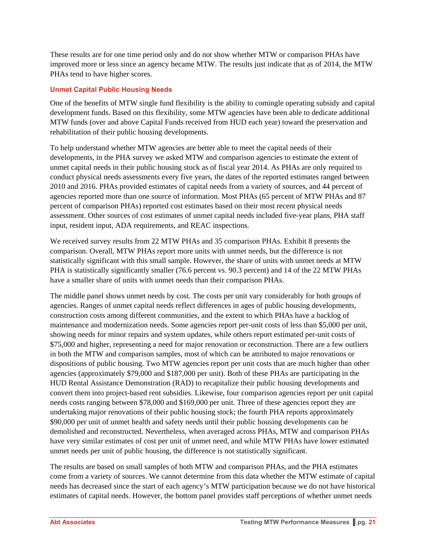These results are for one time period only and do not show whether MTW or comparison PHAs have improved more or less since an agency became MTW. The results just indicate that as of 2014, the MTW PHAs tend to have higher scores.

#### **Unmet Capital Public Housing Needs**

One of the benefits of MTW single fund flexibility is the ability to comingle operating subsidy and capital development funds. Based on this flexibility, some MTW agencies have been able to dedicate additional MTW funds (over and above Capital Funds received from HUD each year) toward the preservation and rehabilitation of their public housing developments.

To help understand whether MTW agencies are better able to meet the capital needs of their developments, in the PHA survey we asked MTW and comparison agencies to estimate the extent of unmet capital needs in their public housing stock as of fiscal year 2014. As PHAs are only required to conduct physical needs assessments every five years, the dates of the reported estimates ranged between 2010 and 2016. PHAs provided estimates of capital needs from a variety of sources, and 44 percent of agencies reported more than one source of information. Most PHAs (65 percent of MTW PHAs and 87 percent of comparison PHAs) reported cost estimates based on their most recent physical needs assessment. Other sources of cost estimates of unmet capital needs included five-year plans, PHA staff input, resident input, ADA requirements, and REAC inspections.

We received survey results from 22 MTW PHAs and 35 comparison PHAs. Exhibit 8 presents the comparison. Overall, MTW PHAs report more units with unmet needs, but the difference is not statistically significant with this small sample. However, the share of units with unmet needs at MTW PHA is statistically significantly smaller (76.6 percent vs. 90.3 percent) and 14 of the 22 MTW PHAs have a smaller share of units with unmet needs than their comparison PHAs.

The middle panel shows unmet needs by cost. The costs per unit vary considerably for both groups of agencies. Ranges of unmet capital needs reflect differences in ages of public housing developments, construction costs among different communities, and the extent to which PHAs have a backlog of maintenance and modernization needs. Some agencies report per-unit costs of less than \$5,000 per unit, showing needs for minor repairs and system updates, while others report estimated per-unit costs of \$75,000 and higher, representing a need for major renovation or reconstruction. There are a few outliers in both the MTW and comparison samples, most of which can be attributed to major renovations or dispositions of public housing. Two MTW agencies report per unit costs that are much higher than other agencies (approximately \$79,000 and \$187,000 per unit). Both of these PHAs are participating in the HUD Rental Assistance Demonstration (RAD) to recapitalize their public housing developments and convert them into project-based rent subsidies. Likewise, four comparison agencies report per unit capital needs costs ranging between \$78,000 and \$169,000 per unit. Three of these agencies report they are undertaking major renovations of their public housing stock; the fourth PHA reports approximately \$90,000 per unit of unmet health and safety needs until their public housing developments can be demolished and reconstructed. Nevertheless, when averaged across PHAs, MTW and comparison PHAs have very similar estimates of cost per unit of unmet need, and while MTW PHAs have lower estimated unmet needs per unit of public housing, the difference is not statistically significant.

The results are based on small samples of both MTW and comparison PHAs, and the PHA estimates come from a variety of sources. We cannot determine from this data whether the MTW estimate of capital needs has decreased since the start of each agency's MTW participation because we do not have historical estimates of capital needs. However, the bottom panel provides staff perceptions of whether unmet needs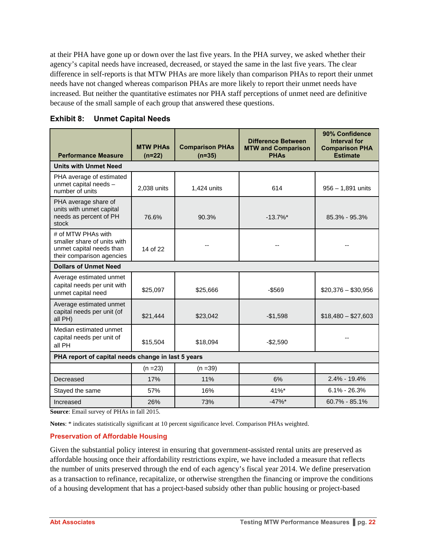at their PHA have gone up or down over the last five years. In the PHA survey, we asked whether their agency's capital needs have increased, decreased, or stayed the same in the last five years. The clear difference in self-reports is that MTW PHAs are more likely than comparison PHAs to report their unmet needs have not changed whereas comparison PHAs are more likely to report their unmet needs have increased. But neither the quantitative estimates nor PHA staff perceptions of unmet need are definitive because of the small sample of each group that answered these questions.

| <b>Performance Measure</b>                                                                                 | <b>MTW PHAS</b><br>$(n=22)$ | <b>Comparison PHAs</b><br>$(n=35)$ | <b>Difference Between</b><br><b>MTW and Comparison</b><br><b>PHAs</b> | 90% Confidence<br><b>Interval for</b><br><b>Comparison PHA</b><br><b>Estimate</b> |
|------------------------------------------------------------------------------------------------------------|-----------------------------|------------------------------------|-----------------------------------------------------------------------|-----------------------------------------------------------------------------------|
| <b>Units with Unmet Need</b>                                                                               |                             |                                    |                                                                       |                                                                                   |
| PHA average of estimated<br>unmet capital needs -<br>number of units                                       | 2,038 units                 | 1,424 units                        | 614                                                                   | $956 - 1,891$ units                                                               |
| PHA average share of<br>units with unmet capital<br>needs as percent of PH<br>stock                        | 76.6%                       | 90.3%                              | $-13.7\%$ *                                                           | 85.3% - 95.3%                                                                     |
| # of MTW PHAs with<br>smaller share of units with<br>unmet capital needs than<br>their comparison agencies | 14 of 22                    |                                    |                                                                       |                                                                                   |
| <b>Dollars of Unmet Need</b>                                                                               |                             |                                    |                                                                       |                                                                                   |
| Average estimated unmet<br>capital needs per unit with<br>unmet capital need                               | \$25,097                    | \$25,666                           | $-$ \$569                                                             | $$20,376 - $30,956$                                                               |
| Average estimated unmet<br>capital needs per unit (of<br>all PH)                                           | \$21,444                    | \$23,042                           | $-$1,598$                                                             | $$18,480 - $27,603$                                                               |
| Median estimated unmet<br>capital needs per unit of<br>all PH                                              | \$15,504                    | \$18,094                           | $-$2,590$                                                             |                                                                                   |
| PHA report of capital needs change in last 5 years                                                         |                             |                                    |                                                                       |                                                                                   |
|                                                                                                            | $(n = 23)$                  | $(n = 39)$                         |                                                                       |                                                                                   |
| Decreased                                                                                                  | 17%                         | 11%                                | 6%                                                                    | $2.4\% - 19.4\%$                                                                  |
| Stayed the same                                                                                            | 57%                         | 16%                                | 41%*                                                                  | $6.1\% - 26.3\%$                                                                  |
| Increased<br>$C$ DILA                                                                                      | 26%<br>0.110017             | 73%                                | $-47%$                                                                | $60.7\% - 85.1\%$                                                                 |

| <b>Unmet Capital Needs</b><br>Exhibit 8: |
|------------------------------------------|
|------------------------------------------|

**Source**: Email survey of PHAs in fall 2015.

**Notes**: \* indicates statistically significant at 10 percent significance level. Comparison PHAs weighted.

#### **Preservation of Affordable Housing**

Given the substantial policy interest in ensuring that government-assisted rental units are preserved as affordable housing once their affordability restrictions expire, we have included a measure that reflects the number of units preserved through the end of each agency's fiscal year 2014. We define preservation as a transaction to refinance, recapitalize, or otherwise strengthen the financing or improve the conditions of a housing development that has a project-based subsidy other than public housing or project-based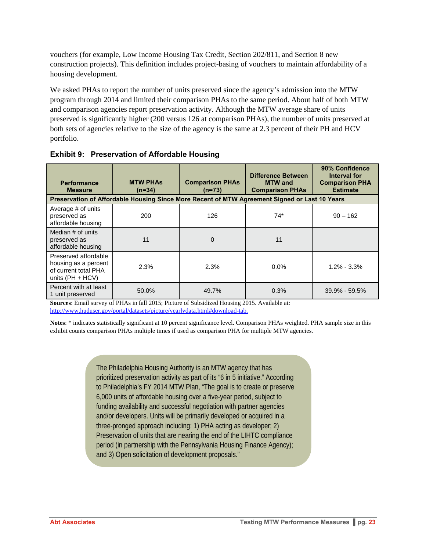vouchers (for example, Low Income Housing Tax Credit, Section 202/811, and Section 8 new construction projects). This definition includes project-basing of vouchers to maintain affordability of a housing development.

We asked PHAs to report the number of units preserved since the agency's admission into the MTW program through 2014 and limited their comparison PHAs to the same period. About half of both MTW and comparison agencies report preservation activity. Although the MTW average share of units preserved is significantly higher (200 versus 126 at comparison PHAs), the number of units preserved at both sets of agencies relative to the size of the agency is the same at 2.3 percent of their PH and HCV portfolio.

| <b>Performance</b><br><b>Measure</b>                                                       | <b>MTW PHAS</b><br>$(n=34)$ | <b>Comparison PHAs</b><br>$(n=73)$                                                            | <b>Difference Between</b><br><b>MTW</b> and<br><b>Comparison PHAs</b> | 90% Confidence<br>Interval for<br><b>Comparison PHA</b><br><b>Estimate</b> |
|--------------------------------------------------------------------------------------------|-----------------------------|-----------------------------------------------------------------------------------------------|-----------------------------------------------------------------------|----------------------------------------------------------------------------|
|                                                                                            |                             | Preservation of Affordable Housing Since More Recent of MTW Agreement Signed or Last 10 Years |                                                                       |                                                                            |
| Average # of units<br>preserved as<br>affordable housing                                   | 200                         | 126                                                                                           | $74*$                                                                 | $90 - 162$                                                                 |
| Median # of units<br>preserved as<br>affordable housing                                    | 11                          | $\mathbf 0$                                                                                   | 11                                                                    |                                                                            |
| Preserved affordable<br>housing as a percent<br>of current total PHA<br>units $(PH + HCV)$ | 2.3%                        | 2.3%                                                                                          | 0.0%                                                                  | $1.2\% - 3.3\%$                                                            |
| Percent with at least<br>1 unit preserved                                                  | 50.0%                       | 49.7%                                                                                         | 0.3%                                                                  | $39.9\% - 59.5\%$                                                          |

**Exhibit 9: Preservation of Affordable Housing** 

**Sources**: Email survey of PHAs in fall 2015; Picture of Subsidized Housing 2015. Available at: http://www.huduser.gov/portal/datasets/picture/yearlydata.html#download-tab.

**Notes**: \* indicates statistically significant at 10 percent significance level. Comparison PHAs weighted. PHA sample size in this exhibit counts comparison PHAs multiple times if used as comparison PHA for multiple MTW agencies.

> The Philadelphia Housing Authority is an MTW agency that has prioritized preservation activity as part of its "6 in 5 initiative." According to Philadelphia's FY 2014 MTW Plan, "The goal is to create or preserve 6,000 units of affordable housing over a five-year period, subject to funding availability and successful negotiation with partner agencies and/or developers. Units will be primarily developed or acquired in a three-pronged approach including: 1) PHA acting as developer; 2) Preservation of units that are nearing the end of the LIHTC compliance period (in partnership with the Pennsylvania Housing Finance Agency); and 3) Open solicitation of development proposals."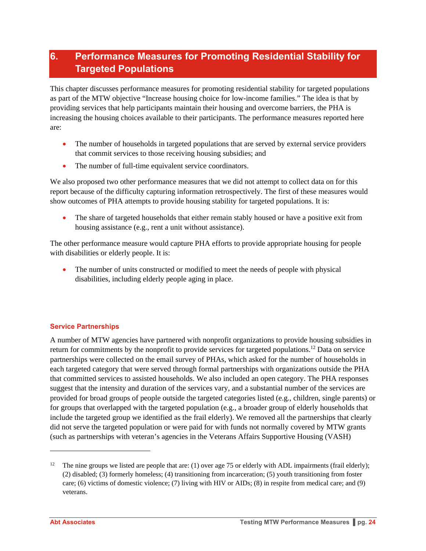## **6. Performance Measures for Promoting Residential Stability for Targeted Populations**

This chapter discusses performance measures for promoting residential stability for targeted populations as part of the MTW objective "Increase housing choice for low-income families." The idea is that by providing services that help participants maintain their housing and overcome barriers, the PHA is increasing the housing choices available to their participants. The performance measures reported here are:

- The number of households in targeted populations that are served by external service providers that commit services to those receiving housing subsidies; and
- The number of full-time equivalent service coordinators.

We also proposed two other performance measures that we did not attempt to collect data on for this report because of the difficulty capturing information retrospectively. The first of these measures would show outcomes of PHA attempts to provide housing stability for targeted populations. It is:

• The share of targeted households that either remain stably housed or have a positive exit from housing assistance (e.g., rent a unit without assistance).

The other performance measure would capture PHA efforts to provide appropriate housing for people with disabilities or elderly people. It is:

 The number of units constructed or modified to meet the needs of people with physical disabilities, including elderly people aging in place.

#### **Service Partnerships**

A number of MTW agencies have partnered with nonprofit organizations to provide housing subsidies in return for commitments by the nonprofit to provide services for targeted populations.<sup>12</sup> Data on service partnerships were collected on the email survey of PHAs, which asked for the number of households in each targeted category that were served through formal partnerships with organizations outside the PHA that committed services to assisted households. We also included an open category. The PHA responses suggest that the intensity and duration of the services vary, and a substantial number of the services are provided for broad groups of people outside the targeted categories listed (e.g., children, single parents) or for groups that overlapped with the targeted population (e.g., a broader group of elderly households that include the targeted group we identified as the frail elderly). We removed all the partnerships that clearly did not serve the targeted population or were paid for with funds not normally covered by MTW grants (such as partnerships with veteran's agencies in the Veterans Affairs Supportive Housing (VASH)

l

<sup>&</sup>lt;sup>12</sup> The nine groups we listed are people that are: (1) over age 75 or elderly with ADL impairments (frail elderly); (2) disabled; (3) formerly homeless; (4) transitioning from incarceration; (5) youth transitioning from foster care; (6) victims of domestic violence; (7) living with HIV or AIDs; (8) in respite from medical care; and (9) veterans.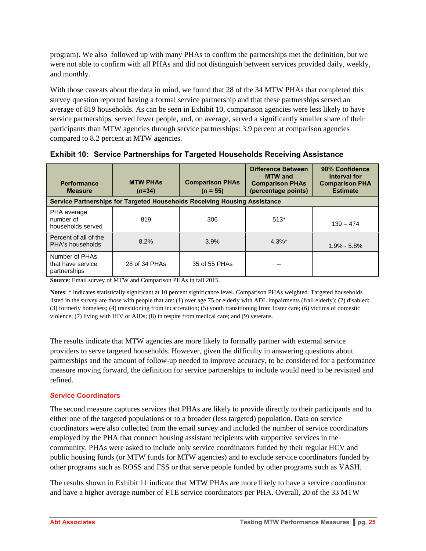program). We also followed up with many PHAs to confirm the partnerships met the definition, but we were not able to confirm with all PHAs and did not distinguish between services provided daily, weekly, and monthly.

With those caveats about the data in mind, we found that 28 of the 34 MTW PHAs that completed this survey question reported having a formal service partnership and that these partnerships served an average of 819 households. As can be seen in Exhibit 10, comparison agencies were less likely to have service partnerships, served fewer people, and, on average, served a significantly smaller share of their participants than MTW agencies through service partnerships: 3.9 percent at comparison agencies compared to 8.2 percent at MTW agencies.

| <b>Performance</b><br><b>Measure</b>                | <b>MTW PHAS</b><br>$(n=34)$ | <b>Comparison PHAs</b><br>$(n = 55)$                                      | <b>Difference Between</b><br><b>MTW</b> and<br><b>Comparison PHAs</b><br>(percentage points) | 90% Confidence<br>Interval for<br><b>Comparison PHA</b><br><b>Estimate</b> |
|-----------------------------------------------------|-----------------------------|---------------------------------------------------------------------------|----------------------------------------------------------------------------------------------|----------------------------------------------------------------------------|
|                                                     |                             | Service Partnerships for Targeted Households Receiving Housing Assistance |                                                                                              |                                                                            |
| PHA average<br>number of<br>households served       | 819                         | 306                                                                       | $513*$                                                                                       | $139 - 474$                                                                |
| Percent of all of the<br>PHA's households           | 8.2%                        | 3.9%                                                                      | $4.3\%$ *                                                                                    | $1.9\% - 5.8\%$                                                            |
| Number of PHAs<br>that have service<br>partnerships | 28 of 34 PHAs               | 35 of 55 PHAs                                                             | --                                                                                           |                                                                            |

|  |  |  |  | <b>Exhibit 10: Service Partnerships for Targeted Households Receiving Assistance</b> |
|--|--|--|--|--------------------------------------------------------------------------------------|
|--|--|--|--|--------------------------------------------------------------------------------------|

**Source**: Email survey of MTW and Comparison PHAs in fall 2015.

**Notes**: \* indicates statistically significant at 10 percent significance level. Comparison PHAs weighted. Targeted households listed in the survey are those with people that are: (1) over age 75 or elderly with ADL impairments (frail elderly); (2) disabled; (3) formerly homeless; (4) transitioning from incarceration; (5) youth transitioning from foster care; (6) victims of domestic violence; (7) living with HIV or AIDs; (8) in respite from medical care; and (9) veterans.

The results indicate that MTW agencies are more likely to formally partner with external service providers to serve targeted households. However, given the difficulty in answering questions about partnerships and the amount of follow-up needed to improve accuracy, to be considered for a performance measure moving forward, the definition for service partnerships to include would need to be revisited and refined.

#### **Service Coordinators**

The second measure captures services that PHAs are likely to provide directly to their participants and to either one of the targeted populations or to a broader (less targeted) population. Data on service coordinators were also collected from the email survey and included the number of service coordinators employed by the PHA that connect housing assistant recipients with supportive services in the community. PHAs were asked to include only service coordinators funded by their regular HCV and public housing funds (or MTW funds for MTW agencies) and to exclude service coordinators funded by other programs such as ROSS and FSS or that serve people funded by other programs such as VASH.

The results shown in Exhibit 11 indicate that MTW PHAs are more likely to have a service coordinator and have a higher average number of FTE service coordinators per PHA. Overall, 20 of the 33 MTW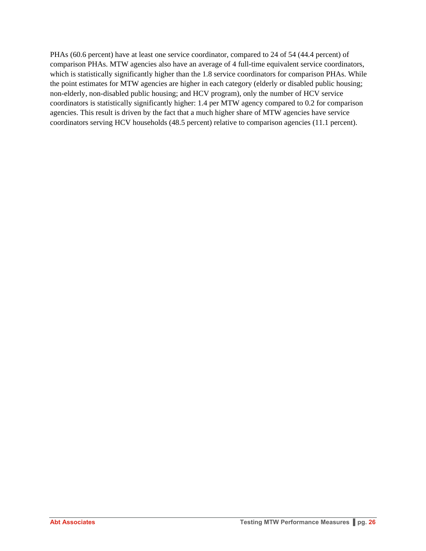PHAs (60.6 percent) have at least one service coordinator, compared to 24 of 54 (44.4 percent) of comparison PHAs. MTW agencies also have an average of 4 full-time equivalent service coordinators, which is statistically significantly higher than the 1.8 service coordinators for comparison PHAs. While the point estimates for MTW agencies are higher in each category (elderly or disabled public housing; non-elderly, non-disabled public housing; and HCV program), only the number of HCV service coordinators is statistically significantly higher: 1.4 per MTW agency compared to 0.2 for comparison agencies. This result is driven by the fact that a much higher share of MTW agencies have service coordinators serving HCV households (48.5 percent) relative to comparison agencies (11.1 percent).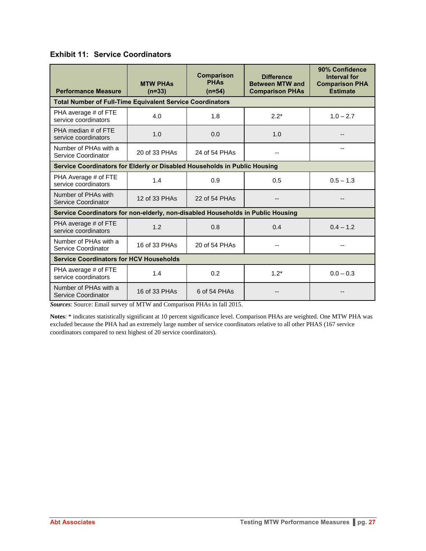#### **Exhibit 11: Service Coordinators**

| <b>Performance Measure</b>                                                      | <b>MTW PHAS</b><br>$(n=33)$ | <b>Comparison</b><br><b>PHAs</b><br>$(n=54)$ |        | 90% Confidence<br><b>Interval for</b><br><b>Comparison PHA</b><br><b>Estimate</b> |  |
|---------------------------------------------------------------------------------|-----------------------------|----------------------------------------------|--------|-----------------------------------------------------------------------------------|--|
| <b>Total Number of Full-Time Equivalent Service Coordinators</b>                |                             |                                              |        |                                                                                   |  |
| PHA average # of FTE<br>service coordinators                                    | 4.0                         | 1.8                                          | $2.2*$ | $1.0 - 2.7$                                                                       |  |
| PHA median # of FTE<br>service coordinators                                     | 1.0                         | 0.0                                          | 1.0    |                                                                                   |  |
| Number of PHAs with a<br>Service Coordinator                                    | 20 of 33 PHAs               | 24 of 54 PHAs                                |        | --                                                                                |  |
| Service Coordinators for Elderly or Disabled Households in Public Housing       |                             |                                              |        |                                                                                   |  |
| PHA Average # of FTE<br>service coordinators                                    | 1.4                         | 0.9                                          | 0.5    | $0.5 - 1.3$                                                                       |  |
| Number of PHAs with<br>Service Coordinator                                      | 12 of 33 PHAs               | 22 of 54 PHAs                                |        | --                                                                                |  |
| Service Coordinators for non-elderly, non-disabled Households in Public Housing |                             |                                              |        |                                                                                   |  |
| PHA average # of FTE<br>service coordinators                                    | 1.2                         | 0.8                                          | 0.4    | $0.4 - 1.2$                                                                       |  |
| Number of PHAs with a<br>Service Coordinator                                    | 16 of 33 PHAs               | 20 of 54 PHAs                                |        |                                                                                   |  |
| <b>Service Coordinators for HCV Households</b>                                  |                             |                                              |        |                                                                                   |  |
| PHA average # of FTE<br>service coordinators                                    | 1.4                         | 0.2                                          | $1.2*$ | $0.0 - 0.3$                                                                       |  |
| Number of PHAs with a<br>Service Coordinator                                    | 16 of 33 PHAs               | 6 of 54 PHAs                                 |        |                                                                                   |  |

*Sources*: Source: Email survey of MTW and Comparison PHAs in fall 2015.

**Notes**: \* indicates statistically significant at 10 percent significance level. Comparison PHAs are weighted. One MTW PHA was excluded because the PHA had an extremely large number of service coordinators relative to all other PHAS (167 service coordinators compared to next highest of 20 service coordinators).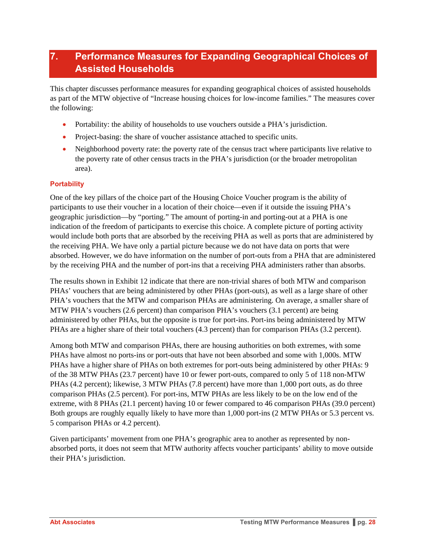## **7. Performance Measures for Expanding Geographical Choices of Assisted Households**

This chapter discusses performance measures for expanding geographical choices of assisted households as part of the MTW objective of "Increase housing choices for low-income families." The measures cover the following:

- Portability: the ability of households to use vouchers outside a PHA's jurisdiction.
- Project-basing: the share of voucher assistance attached to specific units.
- Neighborhood poverty rate: the poverty rate of the census tract where participants live relative to the poverty rate of other census tracts in the PHA's jurisdiction (or the broader metropolitan area).

#### **Portability**

One of the key pillars of the choice part of the Housing Choice Voucher program is the ability of participants to use their voucher in a location of their choice—even if it outside the issuing PHA's geographic jurisdiction—by "porting." The amount of porting-in and porting-out at a PHA is one indication of the freedom of participants to exercise this choice. A complete picture of porting activity would include both ports that are absorbed by the receiving PHA as well as ports that are administered by the receiving PHA. We have only a partial picture because we do not have data on ports that were absorbed. However, we do have information on the number of port-outs from a PHA that are administered by the receiving PHA and the number of port-ins that a receiving PHA administers rather than absorbs.

The results shown in Exhibit 12 indicate that there are non-trivial shares of both MTW and comparison PHAs' vouchers that are being administered by other PHAs (port-outs), as well as a large share of other PHA's vouchers that the MTW and comparison PHAs are administering. On average, a smaller share of MTW PHA's vouchers (2.6 percent) than comparison PHA's vouchers (3.1 percent) are being administered by other PHAs, but the opposite is true for port-ins. Port-ins being administered by MTW PHAs are a higher share of their total vouchers (4.3 percent) than for comparison PHAs (3.2 percent).

Among both MTW and comparison PHAs, there are housing authorities on both extremes, with some PHAs have almost no ports-ins or port-outs that have not been absorbed and some with 1,000s. MTW PHAs have a higher share of PHAs on both extremes for port-outs being administered by other PHAs: 9 of the 38 MTW PHAs (23.7 percent) have 10 or fewer port-outs, compared to only 5 of 118 non-MTW PHAs (4.2 percent); likewise, 3 MTW PHAs (7.8 percent) have more than 1,000 port outs, as do three comparison PHAs (2.5 percent). For port-ins, MTW PHAs are less likely to be on the low end of the extreme, with 8 PHAs (21.1 percent) having 10 or fewer compared to 46 comparison PHAs (39.0 percent) Both groups are roughly equally likely to have more than 1,000 port-ins (2 MTW PHAs or 5.3 percent vs. 5 comparison PHAs or 4.2 percent).

Given participants' movement from one PHA's geographic area to another as represented by nonabsorbed ports, it does not seem that MTW authority affects voucher participants' ability to move outside their PHA's jurisdiction.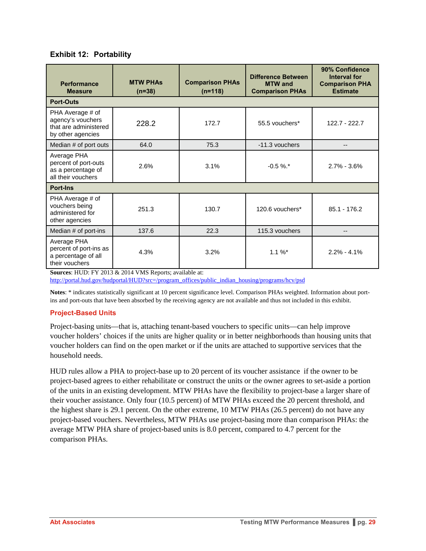| <b>Performance</b><br><b>Measure</b>                                                | <b>MTW PHAS</b><br>$(n=38)$ | <b>Comparison PHAs</b><br>$(n=118)$ | <b>Difference Between</b><br><b>MTW</b> and<br><b>Comparison PHAs</b> | 90% Confidence<br>Interval for<br><b>Comparison PHA</b><br><b>Estimate</b> |
|-------------------------------------------------------------------------------------|-----------------------------|-------------------------------------|-----------------------------------------------------------------------|----------------------------------------------------------------------------|
| <b>Port-Outs</b>                                                                    |                             |                                     |                                                                       |                                                                            |
| PHA Average # of<br>agency's vouchers<br>that are administered<br>by other agencies | 228.2                       | 172.7                               | 55.5 vouchers*                                                        | 122.7 - 222.7                                                              |
| Median # of port outs                                                               | 64.0                        | 75.3                                | -11.3 vouchers                                                        |                                                                            |
| Average PHA<br>percent of port-outs<br>as a percentage of<br>all their vouchers     | 2.6%                        | 3.1%                                | $-0.5 \%$ .*                                                          | $2.7\% - 3.6\%$                                                            |
| <b>Port-Ins</b>                                                                     |                             |                                     |                                                                       |                                                                            |
| PHA Average # of<br>vouchers being<br>administered for<br>other agencies            | 251.3                       | 130.7                               | 120.6 vouchers*                                                       | $85.1 - 176.2$                                                             |
| Median # of port-ins                                                                | 137.6                       | 22.3                                | 115.3 vouchers                                                        |                                                                            |
| Average PHA<br>percent of port-ins as<br>a percentage of all<br>their vouchers      | 4.3%                        | 3.2%                                | $1.1 \%$                                                              | $2.2\% - 4.1\%$                                                            |

**Sources**: HUD: FY 2013 & 2014 VMS Reports; available at:

http://portal.hud.gov/hudportal/HUD?src=/program\_offices/public\_indian\_housing/programs/hcv/psd

**Notes**: \* indicates statistically significant at 10 percent significance level. Comparison PHAs weighted. Information about portins and port-outs that have been absorbed by the receiving agency are not available and thus not included in this exhibit.

#### **Project-Based Units**

Project-basing units—that is, attaching tenant-based vouchers to specific units—can help improve voucher holders' choices if the units are higher quality or in better neighborhoods than housing units that voucher holders can find on the open market or if the units are attached to supportive services that the household needs.

HUD rules allow a PHA to project-base up to 20 percent of its voucher assistance if the owner to be project-based agrees to either rehabilitate or construct the units or the owner agrees to set-aside a portion of the units in an existing development. MTW PHAs have the flexibility to project-base a larger share of their voucher assistance. Only four (10.5 percent) of MTW PHAs exceed the 20 percent threshold, and the highest share is 29.1 percent. On the other extreme, 10 MTW PHAs (26.5 percent) do not have any project-based vouchers. Nevertheless, MTW PHAs use project-basing more than comparison PHAs: the average MTW PHA share of project-based units is 8.0 percent, compared to 4.7 percent for the comparison PHAs.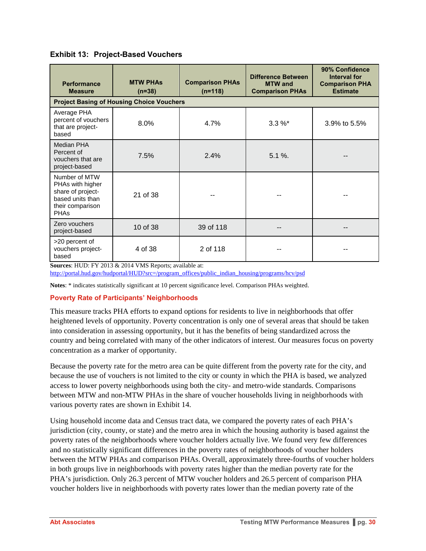| <b>Performance</b><br><b>Measure</b>                                                                          | <b>MTW PHAS</b><br>$(n=38)$                      | <b>Comparison PHAs</b><br>$(n=118)$ | Difference Between<br><b>MTW</b> and<br><b>Comparison PHAs</b> | 90% Confidence<br>Interval for<br><b>Comparison PHA</b><br><b>Estimate</b> |
|---------------------------------------------------------------------------------------------------------------|--------------------------------------------------|-------------------------------------|----------------------------------------------------------------|----------------------------------------------------------------------------|
|                                                                                                               | <b>Project Basing of Housing Choice Vouchers</b> |                                     |                                                                |                                                                            |
| Average PHA<br>percent of vouchers<br>that are project-<br>based                                              | 8.0%                                             | 4.7%                                | $3.3 \%$                                                       | 3.9% to 5.5%                                                               |
| Median PHA<br>Percent of<br>vouchers that are<br>project-based                                                | 7.5%                                             | 2.4%                                | $5.1 \%$ .                                                     |                                                                            |
| Number of MTW<br>PHAs with higher<br>share of project-<br>based units than<br>their comparison<br><b>PHAs</b> | 21 of 38                                         |                                     |                                                                |                                                                            |
| Zero vouchers<br>project-based                                                                                | 10 of 38                                         | 39 of 118                           |                                                                |                                                                            |
| >20 percent of<br>vouchers project-<br>based                                                                  | 4 of 38                                          | 2 of 118                            |                                                                |                                                                            |

**Sources**: HUD: FY 2013 & 2014 VMS Reports; available at:

http://portal.hud.gov/hudportal/HUD?src=/program\_offices/public\_indian\_housing/programs/hcv/psd

**Notes**: \* indicates statistically significant at 10 percent significance level. Comparison PHAs weighted.

#### **Poverty Rate of Participants' Neighborhoods**

This measure tracks PHA efforts to expand options for residents to live in neighborhoods that offer heightened levels of opportunity. Poverty concentration is only one of several areas that should be taken into consideration in assessing opportunity, but it has the benefits of being standardized across the country and being correlated with many of the other indicators of interest. Our measures focus on poverty concentration as a marker of opportunity.

Because the poverty rate for the metro area can be quite different from the poverty rate for the city, and because the use of vouchers is not limited to the city or county in which the PHA is based, we analyzed access to lower poverty neighborhoods using both the city- and metro-wide standards. Comparisons between MTW and non-MTW PHAs in the share of voucher households living in neighborhoods with various poverty rates are shown in Exhibit 14.

Using household income data and Census tract data, we compared the poverty rates of each PHA's jurisdiction (city, county, or state) and the metro area in which the housing authority is based against the poverty rates of the neighborhoods where voucher holders actually live. We found very few differences and no statistically significant differences in the poverty rates of neighborhoods of voucher holders between the MTW PHAs and comparison PHAs. Overall, approximately three-fourths of voucher holders in both groups live in neighborhoods with poverty rates higher than the median poverty rate for the PHA's jurisdiction. Only 26.3 percent of MTW voucher holders and 26.5 percent of comparison PHA voucher holders live in neighborhoods with poverty rates lower than the median poverty rate of the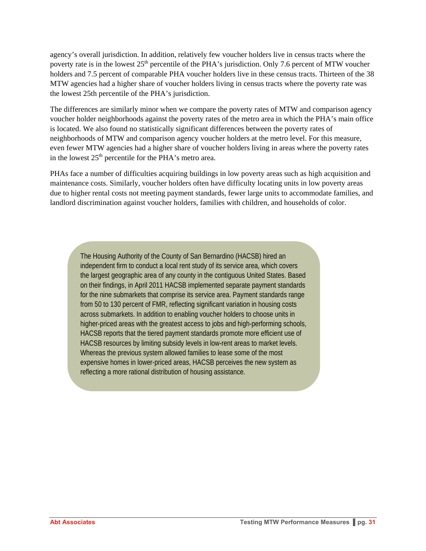agency's overall jurisdiction. In addition, relatively few voucher holders live in census tracts where the poverty rate is in the lowest  $25<sup>th</sup>$  percentile of the PHA's jurisdiction. Only 7.6 percent of MTW voucher holders and 7.5 percent of comparable PHA voucher holders live in these census tracts. Thirteen of the 38 MTW agencies had a higher share of voucher holders living in census tracts where the poverty rate was the lowest 25th percentile of the PHA's jurisdiction.

The differences are similarly minor when we compare the poverty rates of MTW and comparison agency voucher holder neighborhoods against the poverty rates of the metro area in which the PHA's main office is located. We also found no statistically significant differences between the poverty rates of neighborhoods of MTW and comparison agency voucher holders at the metro level. For this measure, even fewer MTW agencies had a higher share of voucher holders living in areas where the poverty rates in the lowest  $25<sup>th</sup>$  percentile for the PHA's metro area.

PHAs face a number of difficulties acquiring buildings in low poverty areas such as high acquisition and maintenance costs. Similarly, voucher holders often have difficulty locating units in low poverty areas due to higher rental costs not meeting payment standards, fewer large units to accommodate families, and landlord discrimination against voucher holders, families with children, and households of color.

The Housing Authority of the County of San Bernardino (HACSB) hired an independent firm to conduct a local rent study of its service area, which covers the largest geographic area of any county in the contiguous United States. Based on their findings, in April 2011 HACSB implemented separate payment standards for the nine submarkets that comprise its service area. Payment standards range from 50 to 130 percent of FMR, reflecting significant variation in housing costs across submarkets. In addition to enabling voucher holders to choose units in higher-priced areas with the greatest access to jobs and high-performing schools, HACSB reports that the tiered payment standards promote more efficient use of HACSB resources by limiting subsidy levels in low-rent areas to market levels. Whereas the previous system allowed families to lease some of the most expensive homes in lower-priced areas, HACSB perceives the new system as reflecting a more rational distribution of housing assistance.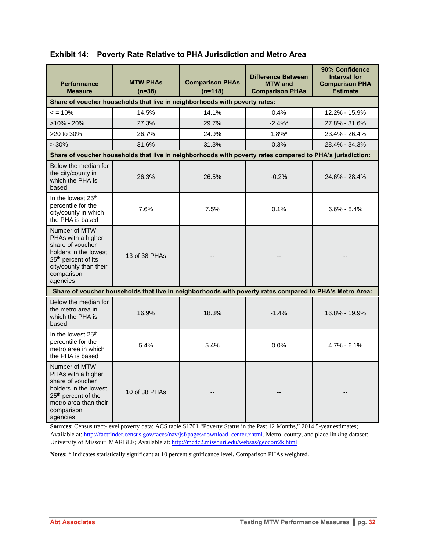| <b>Performance</b><br><b>Measure</b>                                                                                                                                    | <b>MTW PHAS</b><br>$(n=38)$ | <b>Comparison PHAs</b><br>$(n=118)$                                        | <b>Difference Between</b><br><b>MTW</b> and<br><b>Comparison PHAs</b>                                     | 90% Confidence<br><b>Interval for</b><br><b>Comparison PHA</b><br><b>Estimate</b> |
|-------------------------------------------------------------------------------------------------------------------------------------------------------------------------|-----------------------------|----------------------------------------------------------------------------|-----------------------------------------------------------------------------------------------------------|-----------------------------------------------------------------------------------|
|                                                                                                                                                                         |                             | Share of voucher households that live in neighborhoods with poverty rates: |                                                                                                           |                                                                                   |
| $\leq$ = 10%                                                                                                                                                            | 14.5%                       | 14.1%                                                                      | 0.4%                                                                                                      | 12.2% - 15.9%                                                                     |
| $>10\% - 20\%$                                                                                                                                                          | 27.3%                       | 29.7%                                                                      | $-2.4\%$                                                                                                  | 27.8% - 31.6%                                                                     |
| >20 to 30%                                                                                                                                                              | 26.7%                       | 24.9%                                                                      | $1.8\%$ *                                                                                                 | 23.4% - 26.4%                                                                     |
| >30%                                                                                                                                                                    | 31.6%                       | 31.3%                                                                      | 0.3%                                                                                                      | 28.4% - 34.3%                                                                     |
|                                                                                                                                                                         |                             |                                                                            | Share of voucher households that live in neighborhoods with poverty rates compared to PHA's jurisdiction: |                                                                                   |
| Below the median for<br>the city/county in<br>which the PHA is<br>based                                                                                                 | 26.3%                       | 26.5%                                                                      | $-0.2%$                                                                                                   | 24.6% - 28.4%                                                                     |
| In the lowest 25 <sup>th</sup><br>percentile for the<br>city/county in which<br>the PHA is based                                                                        | 7.6%                        | 7.5%                                                                       | 0.1%                                                                                                      | $6.6\% - 8.4\%$                                                                   |
| Number of MTW<br>PHAs with a higher<br>share of voucher<br>holders in the lowest<br>25 <sup>th</sup> percent of its<br>city/county than their<br>comparison<br>agencies | 13 of 38 PHAs               |                                                                            |                                                                                                           |                                                                                   |
|                                                                                                                                                                         |                             |                                                                            | Share of voucher households that live in neighborhoods with poverty rates compared to PHA's Metro Area:   |                                                                                   |
| Below the median for<br>the metro area in<br>which the PHA is<br>based                                                                                                  | 16.9%                       | 18.3%                                                                      | $-1.4%$                                                                                                   | 16.8% - 19.9%                                                                     |
| In the lowest 25 <sup>th</sup><br>percentile for the<br>metro area in which<br>the PHA is based                                                                         | 5.4%                        | 5.4%                                                                       | 0.0%                                                                                                      | $4.7\% - 6.1\%$                                                                   |
| Number of MTW<br>PHAs with a higher<br>share of voucher<br>holders in the lowest<br>25 <sup>th</sup> percent of the<br>metro area than their<br>comparison<br>agencies  | 10 of 38 PHAs               |                                                                            |                                                                                                           |                                                                                   |

**Exhibit 14: Poverty Rate Relative to PHA Jurisdiction and Metro Area** 

**Sources**: Census tract-level poverty data: ACS table S1701 "Poverty Status in the Past 12 Months," 2014 5-year estimates; Available at: http://factfinder.census.gov/faces/nav/jsf/pages/download\_center.xhtml. Metro, county, and place linking dataset: University of Missouri MARBLE; Available at: http://mcdc2.missouri.edu/websas/geocorr2k.html

**Notes**: \* indicates statistically significant at 10 percent significance level. Comparison PHAs weighted.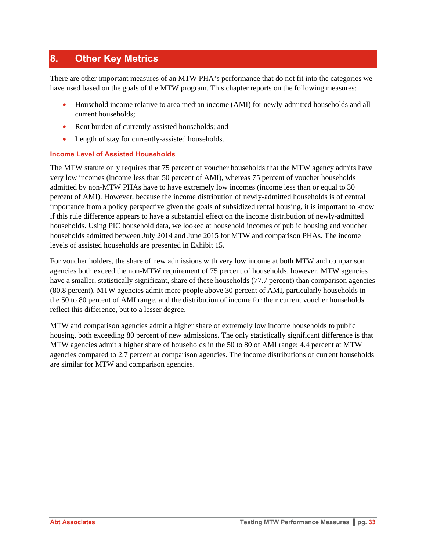## **8. Other Key Metrics**

There are other important measures of an MTW PHA's performance that do not fit into the categories we have used based on the goals of the MTW program. This chapter reports on the following measures:

- Household income relative to area median income (AMI) for newly-admitted households and all current households;
- Rent burden of currently-assisted households; and
- Length of stay for currently-assisted households.

#### **Income Level of Assisted Households**

The MTW statute only requires that 75 percent of voucher households that the MTW agency admits have very low incomes (income less than 50 percent of AMI), whereas 75 percent of voucher households admitted by non-MTW PHAs have to have extremely low incomes (income less than or equal to 30 percent of AMI). However, because the income distribution of newly-admitted households is of central importance from a policy perspective given the goals of subsidized rental housing, it is important to know if this rule difference appears to have a substantial effect on the income distribution of newly-admitted households. Using PIC household data, we looked at household incomes of public housing and voucher households admitted between July 2014 and June 2015 for MTW and comparison PHAs. The income levels of assisted households are presented in Exhibit 15.

For voucher holders, the share of new admissions with very low income at both MTW and comparison agencies both exceed the non-MTW requirement of 75 percent of households, however, MTW agencies have a smaller, statistically significant, share of these households (77.7 percent) than comparison agencies (80.8 percent). MTW agencies admit more people above 30 percent of AMI, particularly households in the 50 to 80 percent of AMI range, and the distribution of income for their current voucher households reflect this difference, but to a lesser degree.

MTW and comparison agencies admit a higher share of extremely low income households to public housing, both exceeding 80 percent of new admissions. The only statistically significant difference is that MTW agencies admit a higher share of households in the 50 to 80 of AMI range: 4.4 percent at MTW agencies compared to 2.7 percent at comparison agencies. The income distributions of current households are similar for MTW and comparison agencies.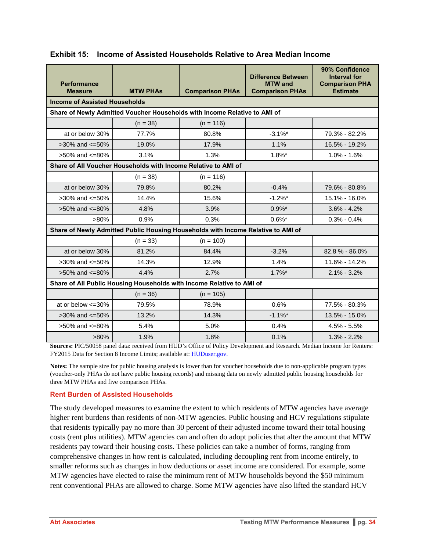| <b>Performance</b><br><b>Measure</b>                                  | <b>MTW PHAs</b>                                                | <b>Comparison PHAs</b>                                                           | <b>Difference Between</b><br><b>MTW</b> and<br><b>Comparison PHAs</b> | 90% Confidence<br><b>Interval for</b><br><b>Comparison PHA</b><br><b>Estimate</b> |  |
|-----------------------------------------------------------------------|----------------------------------------------------------------|----------------------------------------------------------------------------------|-----------------------------------------------------------------------|-----------------------------------------------------------------------------------|--|
| <b>Income of Assisted Households</b>                                  |                                                                |                                                                                  |                                                                       |                                                                                   |  |
|                                                                       |                                                                | Share of Newly Admitted Voucher Households with Income Relative to AMI of        |                                                                       |                                                                                   |  |
|                                                                       | $(n = 38)$                                                     | $(n = 116)$                                                                      |                                                                       |                                                                                   |  |
| at or below 30%                                                       | 77.7%                                                          | 80.8%                                                                            | $-3.1\%$ *                                                            | 79.3% - 82.2%                                                                     |  |
| $>30\%$ and $\leq 50\%$                                               | 19.0%                                                          | 17.9%                                                                            | 1.1%                                                                  | 16.5% - 19.2%                                                                     |  |
| $>50\%$ and $\leq 80\%$                                               | 3.1%                                                           | 1.3%                                                                             | $1.8\%$ *                                                             | $1.0\% - 1.6\%$                                                                   |  |
|                                                                       | Share of All Voucher Households with Income Relative to AMI of |                                                                                  |                                                                       |                                                                                   |  |
|                                                                       | $(n = 38)$                                                     | $(n = 116)$                                                                      |                                                                       |                                                                                   |  |
| at or below 30%                                                       | 79.8%                                                          | 80.2%                                                                            | $-0.4%$                                                               | 79.6% - 80.8%                                                                     |  |
| $>30\%$ and $\leq 50\%$                                               | 14.4%                                                          | 15.6%                                                                            | $-1.2%$                                                               | 15.1% - 16.0%                                                                     |  |
| $>50\%$ and $\leq=80\%$                                               | 4.8%                                                           | 3.9%                                                                             | $0.9\%$ *                                                             | $3.6\% - 4.2\%$                                                                   |  |
| $>80\%$                                                               | 0.9%                                                           | 0.3%                                                                             | $0.6\%$ *                                                             | $0.3\% - 0.4\%$                                                                   |  |
|                                                                       |                                                                | Share of Newly Admitted Public Housing Households with Income Relative to AMI of |                                                                       |                                                                                   |  |
|                                                                       | $(n = 33)$                                                     | $(n = 100)$                                                                      |                                                                       |                                                                                   |  |
| at or below 30%                                                       | 81.2%                                                          | 84.4%                                                                            | $-3.2%$                                                               | 82.8% - 86.0%                                                                     |  |
| $>30\%$ and $\leq 50\%$                                               | 14.3%                                                          | 12.9%                                                                            | 1.4%                                                                  | 11.6% - 14.2%                                                                     |  |
| $>50\%$ and $\leq=80\%$                                               | 4.4%                                                           | 2.7%                                                                             | $1.7\%$ *                                                             | $2.1\% - 3.2\%$                                                                   |  |
| Share of All Public Housing Households with Income Relative to AMI of |                                                                |                                                                                  |                                                                       |                                                                                   |  |
|                                                                       | $(n = 36)$                                                     | $(n = 105)$                                                                      |                                                                       |                                                                                   |  |
| at or below <= 30%                                                    | 79.5%                                                          | 78.9%                                                                            | 0.6%                                                                  | 77.5% - 80.3%                                                                     |  |
| $>30\%$ and $\leq 50\%$                                               | 13.2%                                                          | 14.3%                                                                            | $-1.1\%$ <sup>*</sup>                                                 | 13.5% - 15.0%                                                                     |  |
| >50% and <=80%                                                        | 5.4%                                                           | 5.0%                                                                             | 0.4%                                                                  | $4.5\% - 5.5\%$                                                                   |  |
| $>80\%$                                                               | 1.9%                                                           | 1.8%                                                                             | 0.1%                                                                  | $1.3\% - 2.2\%$                                                                   |  |

#### **Exhibit 15: Income of Assisted Households Relative to Area Median Income**

**Sources:** PIC/50058 panel data: received from HUD's Office of Policy Development and Research. Median Income for Renters: FY2015 Data for Section 8 Income Limits; available at: HUDuser.gov.

**Notes:** The sample size for public housing analysis is lower than for voucher households due to non-applicable program types (voucher-only PHAs do not have public housing records) and missing data on newly admitted public housing households for three MTW PHAs and five comparison PHAs.

#### **Rent Burden of Assisted Households**

The study developed measures to examine the extent to which residents of MTW agencies have average higher rent burdens than residents of non-MTW agencies. Public housing and HCV regulations stipulate that residents typically pay no more than 30 percent of their adjusted income toward their total housing costs (rent plus utilities). MTW agencies can and often do adopt policies that alter the amount that MTW residents pay toward their housing costs. These policies can take a number of forms, ranging from comprehensive changes in how rent is calculated, including decoupling rent from income entirely, to smaller reforms such as changes in how deductions or asset income are considered. For example, some MTW agencies have elected to raise the minimum rent of MTW households beyond the \$50 minimum rent conventional PHAs are allowed to charge. Some MTW agencies have also lifted the standard HCV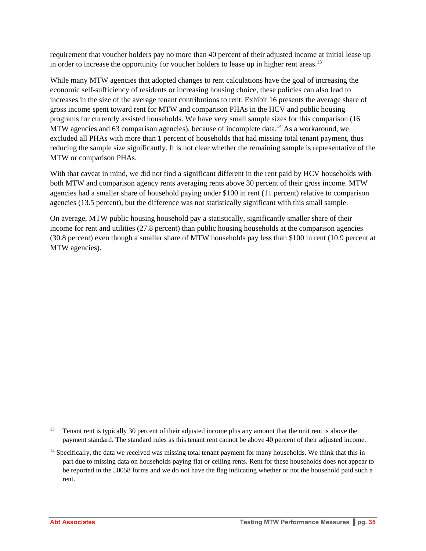requirement that voucher holders pay no more than 40 percent of their adjusted income at initial lease up in order to increase the opportunity for voucher holders to lease up in higher rent areas.<sup>13</sup>

While many MTW agencies that adopted changes to rent calculations have the goal of increasing the economic self-sufficiency of residents or increasing housing choice, these policies can also lead to increases in the size of the average tenant contributions to rent. Exhibit 16 presents the average share of gross income spent toward rent for MTW and comparison PHAs in the HCV and public housing programs for currently assisted households. We have very small sample sizes for this comparison (16 MTW agencies and 63 comparison agencies), because of incomplete data.<sup>14</sup> As a workaround, we excluded all PHAs with more than 1 percent of households that had missing total tenant payment, thus reducing the sample size significantly. It is not clear whether the remaining sample is representative of the MTW or comparison PHAs.

With that caveat in mind, we did not find a significant different in the rent paid by HCV households with both MTW and comparison agency rents averaging rents above 30 percent of their gross income. MTW agencies had a smaller share of household paying under \$100 in rent (11 percent) relative to comparison agencies (13.5 percent), but the difference was not statistically significant with this small sample.

On average, MTW public housing household pay a statistically, significantly smaller share of their income for rent and utilities (27.8 percent) than public housing households at the comparison agencies (30.8 percent) even though a smaller share of MTW households pay less than \$100 in rent (10.9 percent at MTW agencies).

l

<sup>13</sup> Tenant rent is typically 30 percent of their adjusted income plus any amount that the unit rent is above the payment standard. The standard rules as this tenant rent cannot be above 40 percent of their adjusted income.

<sup>&</sup>lt;sup>14</sup> Specifically, the data we received was missing total tenant payment for many households. We think that this in part due to missing data on households paying flat or ceiling rents. Rent for these households does not appear to be reported in the 50058 forms and we do not have the flag indicating whether or not the household paid such a rent.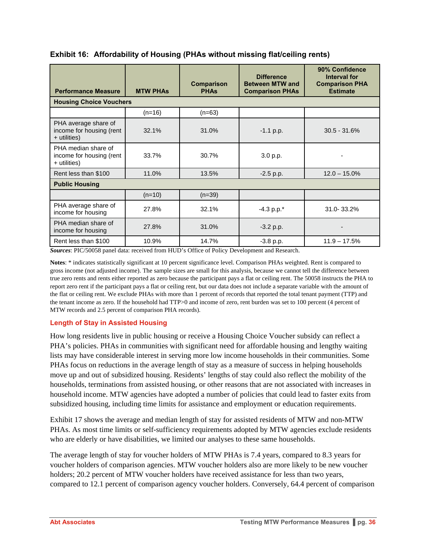| <b>Performance Measure</b>                                       | <b>MTW PHAS</b> | <b>Comparison</b><br><b>PHAs</b> | <b>Difference</b><br><b>Between MTW and</b><br><b>Comparison PHAs</b> | 90% Confidence<br>Interval for<br><b>Comparison PHA</b><br><b>Estimate</b> |
|------------------------------------------------------------------|-----------------|----------------------------------|-----------------------------------------------------------------------|----------------------------------------------------------------------------|
| <b>Housing Choice Vouchers</b>                                   |                 |                                  |                                                                       |                                                                            |
|                                                                  | $(n=16)$        | $(n=63)$                         |                                                                       |                                                                            |
| PHA average share of<br>income for housing (rent<br>+ utilities) | 32.1%           | 31.0%                            | $-1.1$ p.p.                                                           | $30.5 - 31.6%$                                                             |
| PHA median share of<br>income for housing (rent<br>+ utilities)  | 33.7%           | 30.7%                            | 3.0 p.p.                                                              |                                                                            |
| Rent less than \$100                                             | 11.0%           | 13.5%                            | $-2.5$ p.p.                                                           | $12.0 - 15.0\%$                                                            |
| <b>Public Housing</b>                                            |                 |                                  |                                                                       |                                                                            |
|                                                                  | $(n=10)$        | $(n=39)$                         |                                                                       |                                                                            |
| PHA average share of<br>income for housing                       | 27.8%           | 32.1%                            | $-4.3$ p.p. $*$                                                       | 31.0-33.2%                                                                 |
| PHA median share of<br>income for housing                        | 27.8%           | 31.0%                            | $-3.2 p.p.$                                                           |                                                                            |
| Rent less than \$100                                             | 10.9%           | 14.7%                            | $-3.8$ p.p.                                                           | $11.9 - 17.5%$                                                             |

#### **Exhibit 16: Affordability of Housing (PHAs without missing flat/ceiling rents)**

*Sources*: PIC/50058 panel data: received from HUD's Office of Policy Development and Research.

**Notes**: \* indicates statistically significant at 10 percent significance level. Comparison PHAs weighted. Rent is compared to gross income (not adjusted income). The sample sizes are small for this analysis, because we cannot tell the difference between true zero rents and rents either reported as zero because the participant pays a flat or ceiling rent. The 50058 instructs the PHA to report zero rent if the participant pays a flat or ceiling rent, but our data does not include a separate variable with the amount of the flat or ceiling rent. We exclude PHAs with more than 1 percent of records that reported the total tenant payment (TTP) and the tenant income as zero. If the household had TTP>0 and income of zero, rent burden was set to 100 percent (4 percent of MTW records and 2.5 percent of comparison PHA records).

#### **Length of Stay in Assisted Housing**

How long residents live in public housing or receive a Housing Choice Voucher subsidy can reflect a PHA's policies. PHAs in communities with significant need for affordable housing and lengthy waiting lists may have considerable interest in serving more low income households in their communities. Some PHAs focus on reductions in the average length of stay as a measure of success in helping households move up and out of subsidized housing. Residents' lengths of stay could also reflect the mobility of the households, terminations from assisted housing, or other reasons that are not associated with increases in household income. MTW agencies have adopted a number of policies that could lead to faster exits from subsidized housing, including time limits for assistance and employment or education requirements.

Exhibit 17 shows the average and median length of stay for assisted residents of MTW and non-MTW PHAs. As most time limits or self-sufficiency requirements adopted by MTW agencies exclude residents who are elderly or have disabilities, we limited our analyses to these same households.

The average length of stay for voucher holders of MTW PHAs is 7.4 years, compared to 8.3 years for voucher holders of comparison agencies. MTW voucher holders also are more likely to be new voucher holders; 20.2 percent of MTW voucher holders have received assistance for less than two years, compared to 12.1 percent of comparison agency voucher holders. Conversely, 64.4 percent of comparison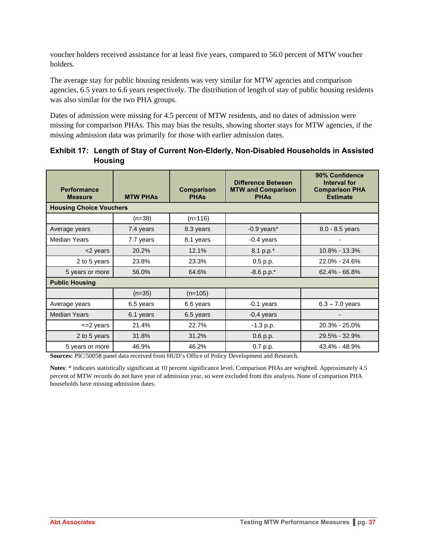voucher holders received assistance for at least five years, compared to 56.0 percent of MTW voucher holders.

The average stay for public housing residents was very similar for MTW agencies and comparison agencies, 6.5 years to 6.6 years respectively. The distribution of length of stay of public housing residents was also similar for the two PHA groups.

Dates of admission were missing for 4.5 percent of MTW residents, and no dates of admission were missing for comparison PHAs. This may bias the results, showing shorter stays for MTW agencies, if the missing admission data was primarily for those with earlier admission dates.

| <b>Performance</b><br><b>Measure</b> | <b>MTW PHAS</b> | <b>Comparison</b><br><b>PHAs</b> | <b>Difference Between</b><br><b>MTW and Comparison</b><br><b>PHAs</b> | 90% Confidence<br>Interval for<br><b>Comparison PHA</b><br><b>Estimate</b> |  |
|--------------------------------------|-----------------|----------------------------------|-----------------------------------------------------------------------|----------------------------------------------------------------------------|--|
| <b>Housing Choice Vouchers</b>       |                 |                                  |                                                                       |                                                                            |  |
|                                      | $(n=38)$        | $(n=116)$                        |                                                                       |                                                                            |  |
| Average years                        | 7.4 years       | 8.3 years                        | $-0.9$ years*                                                         | $8.0 - 8.5$ years                                                          |  |
| Median Years                         | 7.7 years       | 8.1 years                        | $-0.4$ years                                                          |                                                                            |  |
| <2 years                             | 20.2%           | 12.1%                            | 8.1 p.p.*                                                             | 10.8% - 13.3%                                                              |  |
| 2 to 5 years                         | 23.8%           | 23.3%                            | 0.5 p.p.                                                              | 22.0% - 24.6%                                                              |  |
| 5 years or more                      | 56.0%           | 64.6%                            | $-8.6$ p.p. $*$                                                       | 62.4% - 66.8%                                                              |  |
| <b>Public Housing</b>                |                 |                                  |                                                                       |                                                                            |  |
|                                      | $(n=35)$        | $(n=105)$                        |                                                                       |                                                                            |  |
| Average years                        | 6.5 years       | 6.6 years                        | $-0.1$ years                                                          | $6.3 - 7.0$ years                                                          |  |
| <b>Median Years</b>                  | 6.1 years       | 6.5 years                        | $-0.4$ years                                                          |                                                                            |  |
| <= 2 years                           | 21.4%           | 22.7%                            | $-1.3 p.p.$                                                           | 20.3% - 25.0%                                                              |  |
| 2 to 5 years                         | 31.8%           | 31.2%                            | 0.6 p.p.                                                              | 29.5% - 32.9%                                                              |  |
| 5 years or more                      | 46.9%           | 46.2%                            | 0.7 p.p.                                                              | 43.4% - 48.9%                                                              |  |

| Exhibit 17: Length of Stay of Current Non-Elderly, Non-Disabled Households in Assisted |
|----------------------------------------------------------------------------------------|
| <b>Housing</b>                                                                         |

**Sources:** PIC/50058 panel data received from HUD's Office of Policy Development and Research.

**Notes**: \* indicates statistically significant at 10 percent significance level. Comparison PHAs are weighted. Approximately 4.5 percent of MTW records do not have year of admission year, so were excluded from this analysis. None of comparison PHA households have missing admission dates.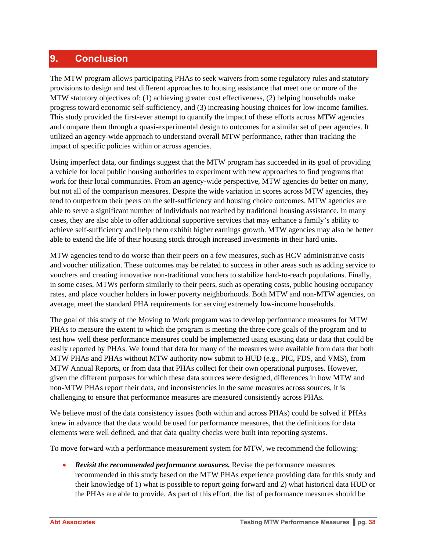## **9. Conclusion**

The MTW program allows participating PHAs to seek waivers from some regulatory rules and statutory provisions to design and test different approaches to housing assistance that meet one or more of the MTW statutory objectives of: (1) achieving greater cost effectiveness, (2) helping households make progress toward economic self-sufficiency, and (3) increasing housing choices for low-income families. This study provided the first-ever attempt to quantify the impact of these efforts across MTW agencies and compare them through a quasi-experimental design to outcomes for a similar set of peer agencies. It utilized an agency-wide approach to understand overall MTW performance, rather than tracking the impact of specific policies within or across agencies.

Using imperfect data, our findings suggest that the MTW program has succeeded in its goal of providing a vehicle for local public housing authorities to experiment with new approaches to find programs that work for their local communities. From an agency-wide perspective, MTW agencies do better on many, but not all of the comparison measures. Despite the wide variation in scores across MTW agencies, they tend to outperform their peers on the self-sufficiency and housing choice outcomes. MTW agencies are able to serve a significant number of individuals not reached by traditional housing assistance. In many cases, they are also able to offer additional supportive services that may enhance a family's ability to achieve self-sufficiency and help them exhibit higher earnings growth. MTW agencies may also be better able to extend the life of their housing stock through increased investments in their hard units.

MTW agencies tend to do worse than their peers on a few measures, such as HCV administrative costs and voucher utilization. These outcomes may be related to success in other areas such as adding service to vouchers and creating innovative non-traditional vouchers to stabilize hard-to-reach populations. Finally, in some cases, MTWs perform similarly to their peers, such as operating costs, public housing occupancy rates, and place voucher holders in lower poverty neighborhoods. Both MTW and non-MTW agencies, on average, meet the standard PHA requirements for serving extremely low-income households.

The goal of this study of the Moving to Work program was to develop performance measures for MTW PHAs to measure the extent to which the program is meeting the three core goals of the program and to test how well these performance measures could be implemented using existing data or data that could be easily reported by PHAs. We found that data for many of the measures were available from data that both MTW PHAs and PHAs without MTW authority now submit to HUD (e.g., PIC, FDS, and VMS), from MTW Annual Reports, or from data that PHAs collect for their own operational purposes. However, given the different purposes for which these data sources were designed, differences in how MTW and non-MTW PHAs report their data, and inconsistencies in the same measures across sources, it is challenging to ensure that performance measures are measured consistently across PHAs.

We believe most of the data consistency issues (both within and across PHAs) could be solved if PHAs knew in advance that the data would be used for performance measures, that the definitions for data elements were well defined, and that data quality checks were built into reporting systems.

To move forward with a performance measurement system for MTW, we recommend the following:

 *Revisit the recommended performance measures.* Revise the performance measures recommended in this study based on the MTW PHAs experience providing data for this study and their knowledge of 1) what is possible to report going forward and 2) what historical data HUD or the PHAs are able to provide. As part of this effort, the list of performance measures should be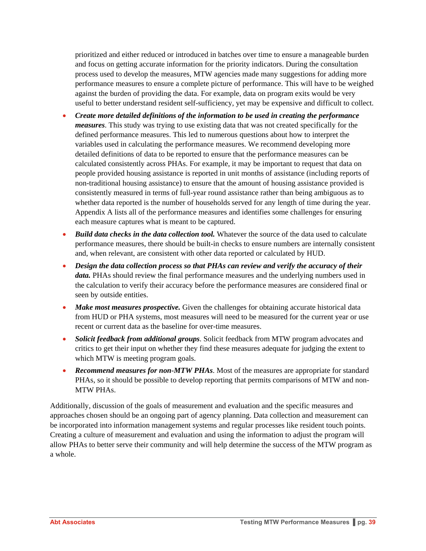prioritized and either reduced or introduced in batches over time to ensure a manageable burden and focus on getting accurate information for the priority indicators. During the consultation process used to develop the measures, MTW agencies made many suggestions for adding more performance measures to ensure a complete picture of performance. This will have to be weighed against the burden of providing the data. For example, data on program exits would be very useful to better understand resident self-sufficiency, yet may be expensive and difficult to collect.

- *Create more detailed definitions of the information to be used in creating the performance measures*. This study was trying to use existing data that was not created specifically for the defined performance measures. This led to numerous questions about how to interpret the variables used in calculating the performance measures. We recommend developing more detailed definitions of data to be reported to ensure that the performance measures can be calculated consistently across PHAs. For example, it may be important to request that data on people provided housing assistance is reported in unit months of assistance (including reports of non-traditional housing assistance) to ensure that the amount of housing assistance provided is consistently measured in terms of full-year round assistance rather than being ambiguous as to whether data reported is the number of households served for any length of time during the year. Appendix A lists all of the performance measures and identifies some challenges for ensuring each measure captures what is meant to be captured.
- Build data checks in the data collection tool. Whatever the source of the data used to calculate performance measures, there should be built-in checks to ensure numbers are internally consistent and, when relevant, are consistent with other data reported or calculated by HUD.
- *Design the data collection process so that PHAs can review and verify the accuracy of their data.* PHAs should review the final performance measures and the underlying numbers used in the calculation to verify their accuracy before the performance measures are considered final or seen by outside entities.
- Make most measures prospective. Given the challenges for obtaining accurate historical data from HUD or PHA systems, most measures will need to be measured for the current year or use recent or current data as the baseline for over-time measures.
- *Solicit feedback from additional groups*. Solicit feedback from MTW program advocates and critics to get their input on whether they find these measures adequate for judging the extent to which MTW is meeting program goals.
- *Recommend measures for non-MTW PHAs*. Most of the measures are appropriate for standard PHAs, so it should be possible to develop reporting that permits comparisons of MTW and non-MTW PHAs.

Additionally, discussion of the goals of measurement and evaluation and the specific measures and approaches chosen should be an ongoing part of agency planning. Data collection and measurement can be incorporated into information management systems and regular processes like resident touch points. Creating a culture of measurement and evaluation and using the information to adjust the program will allow PHAs to better serve their community and will help determine the success of the MTW program as a whole.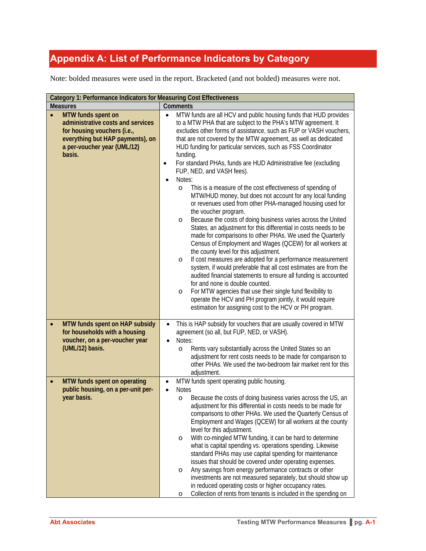# **Appendix A: List of Performance Indicators by Category**

Note: bolded measures were used in the report. Bracketed (and not bolded) measures were not.

| Category 1: Performance Indicators for Measuring Cost Effectiveness                                                                                                 |                                                                                                                                                                                                                                                                                                                                                                                                                                                                                                                                                                                                                                                                                                                                                                                                                                                                                                                                                                                                                                                                                                                                                                                                                                                                                                                                                                                                                                                                                        |  |  |
|---------------------------------------------------------------------------------------------------------------------------------------------------------------------|----------------------------------------------------------------------------------------------------------------------------------------------------------------------------------------------------------------------------------------------------------------------------------------------------------------------------------------------------------------------------------------------------------------------------------------------------------------------------------------------------------------------------------------------------------------------------------------------------------------------------------------------------------------------------------------------------------------------------------------------------------------------------------------------------------------------------------------------------------------------------------------------------------------------------------------------------------------------------------------------------------------------------------------------------------------------------------------------------------------------------------------------------------------------------------------------------------------------------------------------------------------------------------------------------------------------------------------------------------------------------------------------------------------------------------------------------------------------------------------|--|--|
| <b>Measures</b>                                                                                                                                                     | Comments                                                                                                                                                                                                                                                                                                                                                                                                                                                                                                                                                                                                                                                                                                                                                                                                                                                                                                                                                                                                                                                                                                                                                                                                                                                                                                                                                                                                                                                                               |  |  |
| MTW funds spent on<br>administrative costs and services<br>for housing vouchers (i.e.,<br>everything but HAP payments), on<br>a per-voucher year (UML/12)<br>basis. | MTW funds are all HCV and public housing funds that HUD provides<br>$\bullet$<br>to a MTW PHA that are subject to the PHA's MTW agreement. It<br>excludes other forms of assistance, such as FUP or VASH vouchers,<br>that are not covered by the MTW agreement, as well as dedicated<br>HUD funding for particular services, such as FSS Coordinator<br>funding.<br>For standard PHAs, funds are HUD Administrative fee (excluding<br>$\bullet$<br>FUP, NED, and VASH fees).<br>Notes:<br>$\bullet$<br>This is a measure of the cost effectiveness of spending of<br>O<br>MTW/HUD money, but does not account for any local funding<br>or revenues used from other PHA-managed housing used for<br>the voucher program.<br>Because the costs of doing business varies across the United<br>$\circ$<br>States, an adjustment for this differential in costs needs to be<br>made for comparisons to other PHAs. We used the Quarterly<br>Census of Employment and Wages (QCEW) for all workers at<br>the county level for this adjustment.<br>If cost measures are adopted for a performance measurement<br>O<br>system, if would preferable that all cost estimates are from the<br>audited financial statements to ensure all funding is accounted<br>for and none is double counted.<br>For MTW agencies that use their single fund flexibility to<br>$\circ$<br>operate the HCV and PH program jointly, it would require<br>estimation for assigning cost to the HCV or PH program. |  |  |
| MTW funds spent on HAP subsidy<br>for households with a housing<br>voucher, on a per-voucher year<br>(UML/12) basis.                                                | This is HAP subsidy for vouchers that are usually covered in MTW<br>$\bullet$<br>agreement (so all, but FUP, NED, or VASH).<br>Notes:<br>$\bullet$<br>Rents vary substantially across the United States so an<br>$\circ$<br>adjustment for rent costs needs to be made for comparison to<br>other PHAs. We used the two-bedroom fair market rent for this<br>adjustment.                                                                                                                                                                                                                                                                                                                                                                                                                                                                                                                                                                                                                                                                                                                                                                                                                                                                                                                                                                                                                                                                                                               |  |  |
| MTW funds spent on operating<br>public housing, on a per-unit per-<br>year basis.                                                                                   | MTW funds spent operating public housing.<br>$\bullet$<br><b>Notes</b><br>$\bullet$<br>Because the costs of doing business varies across the US, an<br>$\circ$<br>adjustment for this differential in costs needs to be made for<br>comparisons to other PHAs. We used the Quarterly Census of<br>Employment and Wages (QCEW) for all workers at the county<br>level for this adjustment.<br>With co-mingled MTW funding, it can be hard to determine<br>$\circ$<br>what is capital spending vs. operations spending. Likewise<br>standard PHAs may use capital spending for maintenance<br>issues that should be covered under operating expenses.<br>Any savings from energy performance contracts or other<br>O<br>investments are not measured separately, but should show up<br>in reduced operating costs or higher occupancy rates.<br>Collection of rents from tenants is included in the spending on<br>$\circ$                                                                                                                                                                                                                                                                                                                                                                                                                                                                                                                                                               |  |  |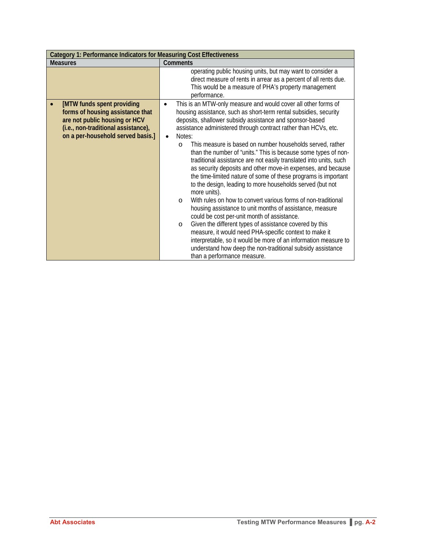| <b>Category 1: Performance Indicators for Measuring Cost Effectiveness</b>                                                                                                  |                                                                                                                                                                                                                                                                                                                                                                                                                                                                                                                                                                                                                                                                                                                                                                                                                                                                                                                                                                                                                                                                                                                                                                                                                 |  |
|-----------------------------------------------------------------------------------------------------------------------------------------------------------------------------|-----------------------------------------------------------------------------------------------------------------------------------------------------------------------------------------------------------------------------------------------------------------------------------------------------------------------------------------------------------------------------------------------------------------------------------------------------------------------------------------------------------------------------------------------------------------------------------------------------------------------------------------------------------------------------------------------------------------------------------------------------------------------------------------------------------------------------------------------------------------------------------------------------------------------------------------------------------------------------------------------------------------------------------------------------------------------------------------------------------------------------------------------------------------------------------------------------------------|--|
| <b>Measures</b>                                                                                                                                                             | <b>Comments</b>                                                                                                                                                                                                                                                                                                                                                                                                                                                                                                                                                                                                                                                                                                                                                                                                                                                                                                                                                                                                                                                                                                                                                                                                 |  |
|                                                                                                                                                                             | operating public housing units, but may want to consider a<br>direct measure of rents in arrear as a percent of all rents due.<br>This would be a measure of PHA's property management<br>performance.                                                                                                                                                                                                                                                                                                                                                                                                                                                                                                                                                                                                                                                                                                                                                                                                                                                                                                                                                                                                          |  |
| [MTW funds spent providing<br>forms of housing assistance that<br>are not public housing or HCV<br>(i.e., non-traditional assistance),<br>on a per-household served basis.] | This is an MTW-only measure and would cover all other forms of<br>housing assistance, such as short-term rental subsidies, security<br>deposits, shallower subsidy assistance and sponsor-based<br>assistance administered through contract rather than HCVs, etc.<br>Notes:<br>$\bullet$<br>This measure is based on number households served, rather<br>$\circ$<br>than the number of "units." This is because some types of non-<br>traditional assistance are not easily translated into units, such<br>as security deposits and other move-in expenses, and because<br>the time-limited nature of some of these programs is important<br>to the design, leading to more households served (but not<br>more units).<br>With rules on how to convert various forms of non-traditional<br>$\Omega$<br>housing assistance to unit months of assistance, measure<br>could be cost per-unit month of assistance.<br>Given the different types of assistance covered by this<br>$\circ$<br>measure, it would need PHA-specific context to make it<br>interpretable, so it would be more of an information measure to<br>understand how deep the non-traditional subsidy assistance<br>than a performance measure. |  |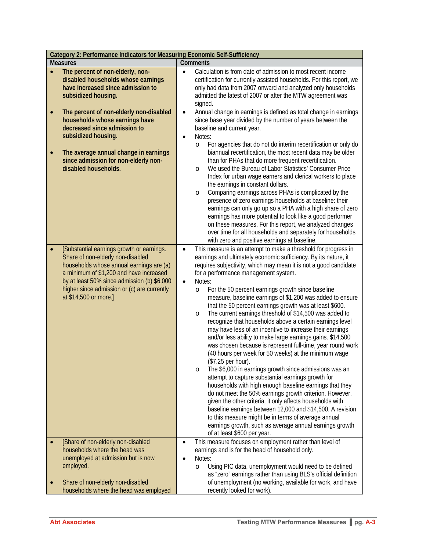|                 | Category 2: Performance Indicators for Measuring Economic Self-Sufficiency                                                                                                                                                                                                                                                                                                      |                                                                                                                                                                                                                                                                                                                                                                                                                                                                                                                                                                                                                                                                                                                                                                                                                                                                                                                                                                                                                                                                                                                                                                                                                                                                                                                                                                                             |  |  |
|-----------------|---------------------------------------------------------------------------------------------------------------------------------------------------------------------------------------------------------------------------------------------------------------------------------------------------------------------------------------------------------------------------------|---------------------------------------------------------------------------------------------------------------------------------------------------------------------------------------------------------------------------------------------------------------------------------------------------------------------------------------------------------------------------------------------------------------------------------------------------------------------------------------------------------------------------------------------------------------------------------------------------------------------------------------------------------------------------------------------------------------------------------------------------------------------------------------------------------------------------------------------------------------------------------------------------------------------------------------------------------------------------------------------------------------------------------------------------------------------------------------------------------------------------------------------------------------------------------------------------------------------------------------------------------------------------------------------------------------------------------------------------------------------------------------------|--|--|
| <b>Measures</b> |                                                                                                                                                                                                                                                                                                                                                                                 | <b>Comments</b>                                                                                                                                                                                                                                                                                                                                                                                                                                                                                                                                                                                                                                                                                                                                                                                                                                                                                                                                                                                                                                                                                                                                                                                                                                                                                                                                                                             |  |  |
|                 | The percent of non-elderly, non-<br>disabled households whose earnings<br>have increased since admission to<br>subsidized housing.<br>The percent of non-elderly non-disabled<br>households whose earnings have<br>decreased since admission to<br>subsidized housing.<br>The average annual change in earnings<br>since admission for non-elderly non-<br>disabled households. | Calculation is from date of admission to most recent income<br>$\bullet$<br>certification for currently assisted households. For this report, we<br>only had data from 2007 onward and analyzed only households<br>admitted the latest of 2007 or after the MTW agreement was<br>signed.<br>Annual change in earnings is defined as total change in earnings<br>$\bullet$<br>since base year divided by the number of years between the<br>baseline and current year.<br>Notes:<br>$\bullet$<br>For agencies that do not do interim recertification or only do<br>O<br>biannual recertification, the most recent data may be older<br>than for PHAs that do more frequent recertification.<br>We used the Bureau of Labor Statistics' Consumer Price<br>O<br>Index for urban wage earners and clerical workers to place<br>the earnings in constant dollars.<br>Comparing earnings across PHAs is complicated by the<br>O<br>presence of zero earnings households at baseline: their<br>earnings can only go up so a PHA with a high share of zero<br>earnings has more potential to look like a good performer<br>on these measures. For this report, we analyzed changes<br>over time for all households and separately for households<br>with zero and positive earnings at baseline.                                                                                                    |  |  |
|                 | [Substantial earnings growth or earnings.<br>Share of non-elderly non-disabled<br>households whose annual earnings are (a)<br>a minimum of \$1,200 and have increased<br>by at least 50% since admission (b) \$6,000<br>higher since admission or (c) are currently<br>at \$14,500 or more.]                                                                                    | This measure is an attempt to make a threshold for progress in<br>$\bullet$<br>earnings and ultimately economic sufficiency. By its nature, it<br>requires subjectivity, which may mean it is not a good candidate<br>for a performance management system.<br>Notes:<br>$\bullet$<br>For the 50 percent earnings growth since baseline<br>O<br>measure, baseline earnings of \$1,200 was added to ensure<br>that the 50 percent earnings growth was at least \$600.<br>The current earnings threshold of \$14,500 was added to<br>O<br>recognize that households above a certain earnings level<br>may have less of an incentive to increase their earnings<br>and/or less ability to make large earnings gains. \$14,500<br>was chosen because is represent full-time, year round work<br>(40 hours per week for 50 weeks) at the minimum wage<br>(\$7.25 per hour).<br>The \$6,000 in earnings growth since admissions was an<br>O<br>attempt to capture substantial earnings growth for<br>households with high enough baseline earnings that they<br>do not meet the 50% earnings growth criterion. However,<br>given the other criteria, it only affects households with<br>baseline earnings between 12,000 and \$14,500. A revision<br>to this measure might be in terms of average annual<br>earnings growth, such as average annual earnings growth<br>of at least \$600 per year. |  |  |
|                 | [Share of non-elderly non-disabled<br>households where the head was<br>unemployed at admission but is now<br>employed.                                                                                                                                                                                                                                                          | This measure focuses on employment rather than level of<br>$\bullet$<br>earnings and is for the head of household only.<br>Notes:<br>Using PIC data, unemployment would need to be defined<br>$\circ$                                                                                                                                                                                                                                                                                                                                                                                                                                                                                                                                                                                                                                                                                                                                                                                                                                                                                                                                                                                                                                                                                                                                                                                       |  |  |
|                 | Share of non-elderly non-disabled<br>households where the head was employed                                                                                                                                                                                                                                                                                                     | as "zero" earnings rather than using BLS's official definition<br>of unemployment (no working, available for work, and have<br>recently looked for work).                                                                                                                                                                                                                                                                                                                                                                                                                                                                                                                                                                                                                                                                                                                                                                                                                                                                                                                                                                                                                                                                                                                                                                                                                                   |  |  |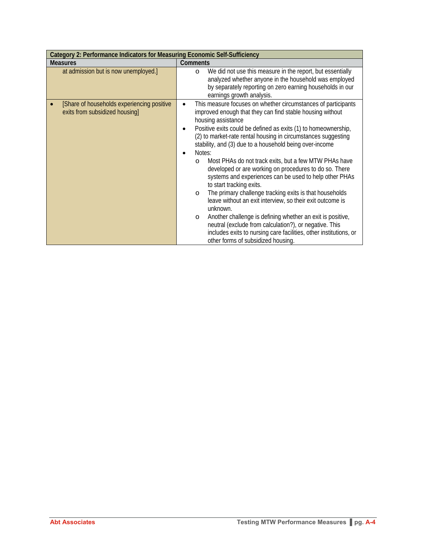| Category 2: Performance Indicators for Measuring Economic Self-Sufficiency    |                                                                                                                                                                                                                                                                                                                                                                                                                                                                                                                                                                                                                                                                                                                                                                                                                                                                                                                                                                                                     |  |  |
|-------------------------------------------------------------------------------|-----------------------------------------------------------------------------------------------------------------------------------------------------------------------------------------------------------------------------------------------------------------------------------------------------------------------------------------------------------------------------------------------------------------------------------------------------------------------------------------------------------------------------------------------------------------------------------------------------------------------------------------------------------------------------------------------------------------------------------------------------------------------------------------------------------------------------------------------------------------------------------------------------------------------------------------------------------------------------------------------------|--|--|
| <b>Measures</b>                                                               | <b>Comments</b>                                                                                                                                                                                                                                                                                                                                                                                                                                                                                                                                                                                                                                                                                                                                                                                                                                                                                                                                                                                     |  |  |
| at admission but is now unemployed.]                                          | We did not use this measure in the report, but essentially<br>$\circ$<br>analyzed whether anyone in the household was employed<br>by separately reporting on zero earning households in our<br>earnings growth analysis.                                                                                                                                                                                                                                                                                                                                                                                                                                                                                                                                                                                                                                                                                                                                                                            |  |  |
| [Share of households experiencing positive]<br>exits from subsidized housing] | This measure focuses on whether circumstances of participants<br>$\bullet$<br>improved enough that they can find stable housing without<br>housing assistance<br>Positive exits could be defined as exits (1) to homeownership,<br>$\bullet$<br>(2) to market-rate rental housing in circumstances suggesting<br>stability, and (3) due to a household being over-income<br>Notes:<br>Most PHAs do not track exits, but a few MTW PHAs have<br>$\circ$<br>developed or are working on procedures to do so. There<br>systems and experiences can be used to help other PHAs<br>to start tracking exits.<br>The primary challenge tracking exits is that households<br>$\circ$<br>leave without an exit interview, so their exit outcome is<br>unknown.<br>Another challenge is defining whether an exit is positive,<br>$\circ$<br>neutral (exclude from calculation?), or negative. This<br>includes exits to nursing care facilities, other institutions, or<br>other forms of subsidized housing. |  |  |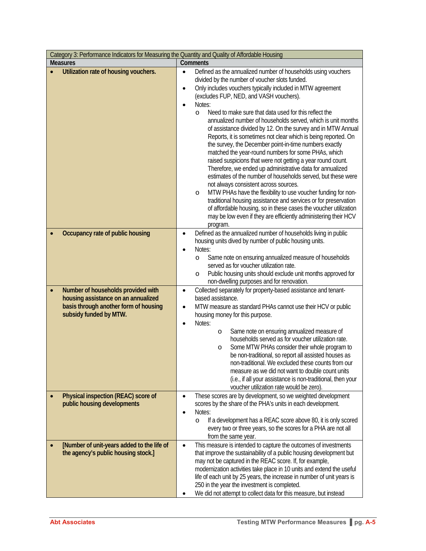| Category 3: Performance Indicators for Measuring the Quantity and Quality of Affordable Housing                                              |                                                                                                                                                                                                                                                                                                                                                                                                                                                                                                                                                                                                                                                                                                                                                                                                                                                                                                                                                                                                                                                                                                                                                                                                         |  |  |
|----------------------------------------------------------------------------------------------------------------------------------------------|---------------------------------------------------------------------------------------------------------------------------------------------------------------------------------------------------------------------------------------------------------------------------------------------------------------------------------------------------------------------------------------------------------------------------------------------------------------------------------------------------------------------------------------------------------------------------------------------------------------------------------------------------------------------------------------------------------------------------------------------------------------------------------------------------------------------------------------------------------------------------------------------------------------------------------------------------------------------------------------------------------------------------------------------------------------------------------------------------------------------------------------------------------------------------------------------------------|--|--|
| <b>Measures</b>                                                                                                                              | Comments                                                                                                                                                                                                                                                                                                                                                                                                                                                                                                                                                                                                                                                                                                                                                                                                                                                                                                                                                                                                                                                                                                                                                                                                |  |  |
| Utilization rate of housing vouchers.                                                                                                        | Defined as the annualized number of households using vouchers<br>$\bullet$<br>divided by the number of voucher slots funded.<br>Only includes vouchers typically included in MTW agreement<br>$\bullet$<br>(excludes FUP, NED, and VASH vouchers).<br>Notes:<br>$\bullet$<br>Need to make sure that data used for this reflect the<br>$\circ$<br>annualized number of households served, which is unit months<br>of assistance divided by 12. On the survey and in MTW Annual<br>Reports, it is sometimes not clear which is being reported. On<br>the survey, the December point-in-time numbers exactly<br>matched the year-round numbers for some PHAs, which<br>raised suspicions that were not getting a year round count.<br>Therefore, we ended up administrative data for annualized<br>estimates of the number of households served, but these were<br>not always consistent across sources.<br>MTW PHAs have the flexibility to use voucher funding for non-<br>$\circ$<br>traditional housing assistance and services or for preservation<br>of affordable housing, so in these cases the voucher utilization<br>may be low even if they are efficiently administering their HCV<br>program. |  |  |
| Occupancy rate of public housing                                                                                                             | Defined as the annualized number of households living in public<br>$\bullet$<br>housing units dived by number of public housing units.<br>Notes:<br>٠<br>Same note on ensuring annualized measure of households<br>O<br>served as for voucher utilization rate.<br>Public housing units should exclude unit months approved for<br>O<br>non-dwelling purposes and for renovation.                                                                                                                                                                                                                                                                                                                                                                                                                                                                                                                                                                                                                                                                                                                                                                                                                       |  |  |
| Number of households provided with<br>housing assistance on an annualized<br>basis through another form of housing<br>subsidy funded by MTW. | Collected separately for property-based assistance and tenant-<br>$\bullet$<br>based assistance.<br>MTW measure as standard PHAs cannot use their HCV or public<br>$\bullet$<br>housing money for this purpose.<br>Notes:<br>$\bullet$<br>Same note on ensuring annualized measure of<br>$\circ$<br>households served as for voucher utilization rate.<br>Some MTW PHAs consider their whole program to<br>$\circ$<br>be non-traditional, so report all assisted houses as<br>non-traditional. We excluded these counts from our<br>measure as we did not want to double count units<br>(i.e., if all your assistance is non-traditional, then your<br>voucher utilization rate would be zero).                                                                                                                                                                                                                                                                                                                                                                                                                                                                                                         |  |  |
| Physical inspection (REAC) score of<br>public housing developments                                                                           | These scores are by development, so we weighted development<br>$\bullet$<br>scores by the share of the PHA's units in each development.<br>Notes:<br>$\bullet$<br>If a development has a REAC score above 80, it is only scored<br>$\circ$<br>every two or three years, so the scores for a PHA are not all<br>from the same year.                                                                                                                                                                                                                                                                                                                                                                                                                                                                                                                                                                                                                                                                                                                                                                                                                                                                      |  |  |
| [Number of unit-years added to the life of<br>the agency's public housing stock.]                                                            | This measure is intended to capture the outcomes of investments<br>$\bullet$<br>that improve the sustainability of a public housing development but<br>may not be captured in the REAC score. If, for example,<br>modernization activities take place in 10 units and extend the useful<br>life of each unit by 25 years, the increase in number of unit years is<br>250 in the year the investment is completed.<br>We did not attempt to collect data for this measure, but instead                                                                                                                                                                                                                                                                                                                                                                                                                                                                                                                                                                                                                                                                                                                   |  |  |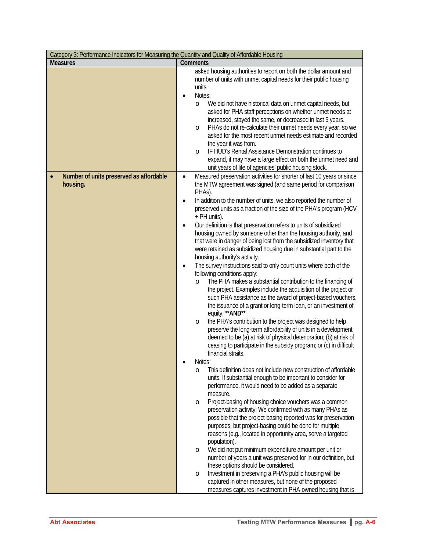| Category 3: Performance Indicators for Measuring the Quantity and Quality of Affordable Housing |                                                                                                                                                                                                                                                                                                                                                                                                                                                                                                                                                                                                                                                                                                                                                                                                                                                                                                                                                                                                                                                                                                                                                                                                                                                                                                                 |  |  |
|-------------------------------------------------------------------------------------------------|-----------------------------------------------------------------------------------------------------------------------------------------------------------------------------------------------------------------------------------------------------------------------------------------------------------------------------------------------------------------------------------------------------------------------------------------------------------------------------------------------------------------------------------------------------------------------------------------------------------------------------------------------------------------------------------------------------------------------------------------------------------------------------------------------------------------------------------------------------------------------------------------------------------------------------------------------------------------------------------------------------------------------------------------------------------------------------------------------------------------------------------------------------------------------------------------------------------------------------------------------------------------------------------------------------------------|--|--|
| <b>Measures</b>                                                                                 | Comments                                                                                                                                                                                                                                                                                                                                                                                                                                                                                                                                                                                                                                                                                                                                                                                                                                                                                                                                                                                                                                                                                                                                                                                                                                                                                                        |  |  |
|                                                                                                 | asked housing authorities to report on both the dollar amount and<br>number of units with unmet capital needs for their public housing<br>units<br>Notes:<br>$\bullet$<br>We did not have historical data on unmet capital needs, but<br>O<br>asked for PHA staff perceptions on whether unmet needs at<br>increased, stayed the same, or decreased in last 5 years.<br>PHAs do not re-calculate their unmet needs every year, so we<br>O<br>asked for the most recent unmet needs estimate and recorded<br>the year it was from.<br>IF HUD's Rental Assistance Demonstration continues to<br>$\circ$<br>expand, it may have a large effect on both the unmet need and<br>unit years of life of agencies' public housing stock.                                                                                                                                                                                                                                                                                                                                                                                                                                                                                                                                                                                 |  |  |
| Number of units preserved as affordable                                                         | Measured preservation activities for shorter of last 10 years or since<br>$\bullet$                                                                                                                                                                                                                                                                                                                                                                                                                                                                                                                                                                                                                                                                                                                                                                                                                                                                                                                                                                                                                                                                                                                                                                                                                             |  |  |
| housing.                                                                                        | the MTW agreement was signed (and same period for comparison<br>PHAs).<br>In addition to the number of units, we also reported the number of<br>$\bullet$<br>preserved units as a fraction of the size of the PHA's program (HCV<br>+ PH units).<br>Our definition is that preservation refers to units of subsidized<br>$\bullet$<br>housing owned by someone other than the housing authority, and<br>that were in danger of being lost from the subsidized inventory that<br>were retained as subsidized housing due in substantial part to the<br>housing authority's activity.<br>The survey instructions said to only count units where both of the<br>$\bullet$<br>following conditions apply:<br>The PHA makes a substantial contribution to the financing of<br>$\circ$<br>the project. Examples include the acquisition of the project or<br>such PHA assistance as the award of project-based vouchers,<br>the issuance of a grant or long-term loan, or an investment of<br>equity, ** AND**<br>the PHA's contribution to the project was designed to help<br>O<br>preserve the long-term affordability of units in a development<br>deemed to be (a) at risk of physical deterioration; (b) at risk of<br>ceasing to participate in the subsidy program; or (c) in difficult<br>financial straits. |  |  |
|                                                                                                 | Notes:<br>This definition does not include new construction of affordable<br>O<br>units. If substantial enough to be important to consider for<br>performance, it would need to be added as a separate<br>measure.<br>Project-basing of housing choice vouchers was a common<br>O<br>preservation activity. We confirmed with as many PHAs as<br>possible that the project-basing reported was for preservation<br>purposes, but project-basing could be done for multiple<br>reasons (e.g., located in opportunity area, serve a targeted<br>population).<br>We did not put minimum expenditure amount per unit or<br>O<br>number of years a unit was preserved for in our definition, but<br>these options should be considered.<br>Investment in preserving a PHA's public housing will be<br>$\circ$<br>captured in other measures, but none of the proposed<br>measures captures investment in PHA-owned housing that is                                                                                                                                                                                                                                                                                                                                                                                   |  |  |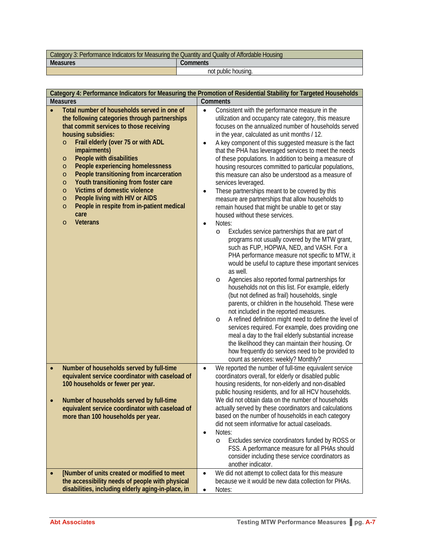| Category 3: Performance Indicators for Measuring the Quantity and Quality of Affordable Housing |                     |  |
|-------------------------------------------------------------------------------------------------|---------------------|--|
| <b>Measures</b><br>Comments                                                                     |                     |  |
|                                                                                                 | not public housing. |  |

| Category 4: Performance Indicators for Measuring the Promotion of Residential Stability for Targeted Households                                                                                                                                                                                                                                                                                                                                                                                                                                                                                                                   |                                                                                                                                                                                                                                                                                                                                                                                                                                                                                                                                                                                                                                                                                                                                                                                                                                                                                                                                                                                                                                                                                                                                                                                                                                                                                                                                                                                                                                                                                                                                                                                                                                                                                   |  |
|-----------------------------------------------------------------------------------------------------------------------------------------------------------------------------------------------------------------------------------------------------------------------------------------------------------------------------------------------------------------------------------------------------------------------------------------------------------------------------------------------------------------------------------------------------------------------------------------------------------------------------------|-----------------------------------------------------------------------------------------------------------------------------------------------------------------------------------------------------------------------------------------------------------------------------------------------------------------------------------------------------------------------------------------------------------------------------------------------------------------------------------------------------------------------------------------------------------------------------------------------------------------------------------------------------------------------------------------------------------------------------------------------------------------------------------------------------------------------------------------------------------------------------------------------------------------------------------------------------------------------------------------------------------------------------------------------------------------------------------------------------------------------------------------------------------------------------------------------------------------------------------------------------------------------------------------------------------------------------------------------------------------------------------------------------------------------------------------------------------------------------------------------------------------------------------------------------------------------------------------------------------------------------------------------------------------------------------|--|
| <b>Measures</b>                                                                                                                                                                                                                                                                                                                                                                                                                                                                                                                                                                                                                   | Comments                                                                                                                                                                                                                                                                                                                                                                                                                                                                                                                                                                                                                                                                                                                                                                                                                                                                                                                                                                                                                                                                                                                                                                                                                                                                                                                                                                                                                                                                                                                                                                                                                                                                          |  |
| Total number of households served in one of<br>the following categories through partnerships<br>that commit services to those receiving<br>housing subsidies:<br>Frail elderly (over 75 or with ADL<br>$\circ$<br>impairments)<br><b>People with disabilities</b><br>$\circ$<br>People experiencing homelessness<br>$\circ$<br>People transitioning from incarceration<br>$\circ$<br>Youth transitioning from foster care<br>$\circ$<br><b>Victims of domestic violence</b><br>$\circ$<br>People living with HIV or AIDS<br>$\circ$<br>People in respite from in-patient medical<br>$\circ$<br>care<br><b>Veterans</b><br>$\circ$ | Consistent with the performance measure in the<br>$\bullet$<br>utilization and occupancy rate category, this measure<br>focuses on the annualized number of households served<br>in the year, calculated as unit months / 12.<br>A key component of this suggested measure is the fact<br>٠<br>that the PHA has leveraged services to meet the needs<br>of these populations. In addition to being a measure of<br>housing resources committed to particular populations,<br>this measure can also be understood as a measure of<br>services leveraged.<br>These partnerships meant to be covered by this<br>$\bullet$<br>measure are partnerships that allow households to<br>remain housed that might be unable to get or stay<br>housed without these services.<br>Notes:<br>$\bullet$<br>Excludes service partnerships that are part of<br>$\circ$<br>programs not usually covered by the MTW grant,<br>such as FUP, HOPWA, NED, and VASH. For a<br>PHA performance measure not specific to MTW, it<br>would be useful to capture these important services<br>as well.<br>Agencies also reported formal partnerships for<br>$\circ$<br>households not on this list. For example, elderly<br>(but not defined as frail) households, single<br>parents, or children in the household. These were<br>not included in the reported measures.<br>A refined definition might need to define the level of<br>$\circ$<br>services required. For example, does providing one<br>meal a day to the frail elderly substantial increase<br>the likelihood they can maintain their housing. Or<br>how frequently do services need to be provided to<br>count as services: weekly? Monthly? |  |
| Number of households served by full-time<br>$\bullet$<br>equivalent service coordinator with caseload of<br>100 households or fewer per year.<br>Number of households served by full-time<br>equivalent service coordinator with caseload of<br>more than 100 households per year.                                                                                                                                                                                                                                                                                                                                                | We reported the number of full-time equivalent service<br>$\bullet$<br>coordinators overall, for elderly or disabled public<br>housing residents, for non-elderly and non-disabled<br>public housing residents, and for all HCV households.<br>We did not obtain data on the number of households<br>actually served by these coordinators and calculations<br>based on the number of households in each category<br>did not seem informative for actual caseloads.<br>Notes:<br>$\bullet$<br>Excludes service coordinators funded by ROSS or<br>$\circ$<br>FSS. A performance measure for all PHAs should<br>consider including these service coordinators as<br>another indicator.                                                                                                                                                                                                                                                                                                                                                                                                                                                                                                                                                                                                                                                                                                                                                                                                                                                                                                                                                                                              |  |
| [Number of units created or modified to meet<br>the accessibility needs of people with physical<br>disabilities, including elderly aging-in-place, in                                                                                                                                                                                                                                                                                                                                                                                                                                                                             | We did not attempt to collect data for this measure<br>$\bullet$<br>because we it would be new data collection for PHAs.<br>Notes:<br>$\bullet$                                                                                                                                                                                                                                                                                                                                                                                                                                                                                                                                                                                                                                                                                                                                                                                                                                                                                                                                                                                                                                                                                                                                                                                                                                                                                                                                                                                                                                                                                                                                   |  |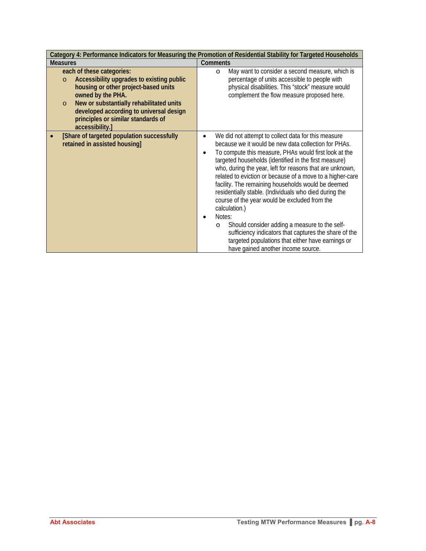|                                                                                                                                                                                                                                                                                                           | Category 4: Performance Indicators for Measuring the Promotion of Residential Stability for Targeted Households                                                                                                                                                                                                                                                                                                                                                                                                                                                                                                                                                                                                                                                                                           |
|-----------------------------------------------------------------------------------------------------------------------------------------------------------------------------------------------------------------------------------------------------------------------------------------------------------|-----------------------------------------------------------------------------------------------------------------------------------------------------------------------------------------------------------------------------------------------------------------------------------------------------------------------------------------------------------------------------------------------------------------------------------------------------------------------------------------------------------------------------------------------------------------------------------------------------------------------------------------------------------------------------------------------------------------------------------------------------------------------------------------------------------|
| <b>Measures</b>                                                                                                                                                                                                                                                                                           | <b>Comments</b>                                                                                                                                                                                                                                                                                                                                                                                                                                                                                                                                                                                                                                                                                                                                                                                           |
| each of these categories:<br>Accessibility upgrades to existing public<br>$\circ$<br>housing or other project-based units<br>owned by the PHA.<br>New or substantially rehabilitated units<br>$\circ$<br>developed according to universal design<br>principles or similar standards of<br>accessibility.] | May want to consider a second measure, which is<br>$\circ$<br>percentage of units accessible to people with<br>physical disabilities. This "stock" measure would<br>complement the flow measure proposed here.                                                                                                                                                                                                                                                                                                                                                                                                                                                                                                                                                                                            |
| [Share of targeted population successfully<br>retained in assisted housing]                                                                                                                                                                                                                               | We did not attempt to collect data for this measure<br>$\bullet$<br>because we it would be new data collection for PHAs.<br>To compute this measure, PHAs would first look at the<br>$\bullet$<br>targeted households (identified in the first measure)<br>who, during the year, left for reasons that are unknown,<br>related to eviction or because of a move to a higher-care<br>facility. The remaining households would be deemed<br>residentially stable. (Individuals who died during the<br>course of the year would be excluded from the<br>calculation.)<br>Notes:<br>$\bullet$<br>Should consider adding a measure to the self-<br>$\circ$<br>sufficiency indicators that captures the share of the<br>targeted populations that either have earnings or<br>have gained another income source. |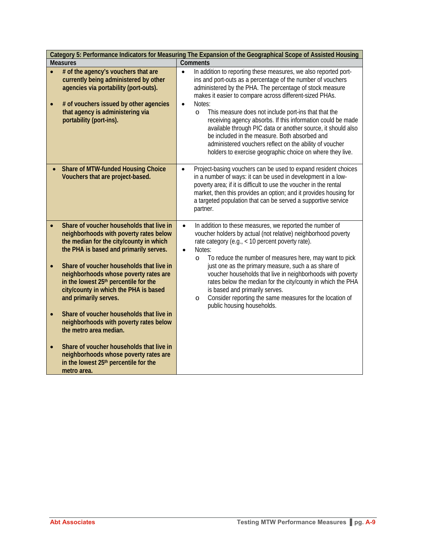|                 | Category 5: Performance Indicators for Measuring The Expansion of the Geographical Scope of Assisted Housing                                                                                                                   |                                                                                                                                                                                                                                                                                                                                                                                                                                                                                                                                                                                                                                                                      |  |
|-----------------|--------------------------------------------------------------------------------------------------------------------------------------------------------------------------------------------------------------------------------|----------------------------------------------------------------------------------------------------------------------------------------------------------------------------------------------------------------------------------------------------------------------------------------------------------------------------------------------------------------------------------------------------------------------------------------------------------------------------------------------------------------------------------------------------------------------------------------------------------------------------------------------------------------------|--|
| <b>Measures</b> |                                                                                                                                                                                                                                | <b>Comments</b>                                                                                                                                                                                                                                                                                                                                                                                                                                                                                                                                                                                                                                                      |  |
|                 | # of the agency's vouchers that are<br>currently being administered by other<br>agencies via portability (port-outs).<br># of vouchers issued by other agencies<br>that agency is administering via<br>portability (port-ins). | In addition to reporting these measures, we also reported port-<br>$\bullet$<br>ins and port-outs as a percentage of the number of vouchers<br>administered by the PHA. The percentage of stock measure<br>makes it easier to compare across different-sized PHAs.<br>Notes:<br>$\bullet$<br>This measure does not include port-ins that that the<br>$\circ$<br>receiving agency absorbs. If this information could be made<br>available through PIC data or another source, it should also<br>be included in the measure. Both absorbed and<br>administered vouchers reflect on the ability of voucher<br>holders to exercise geographic choice on where they live. |  |
|                 | <b>Share of MTW-funded Housing Choice</b><br>Vouchers that are project-based.                                                                                                                                                  | Project-basing vouchers can be used to expand resident choices<br>$\bullet$<br>in a number of ways: it can be used in development in a low-<br>poverty area; if it is difficult to use the voucher in the rental<br>market, then this provides an option; and it provides housing for<br>a targeted population that can be served a supportive service<br>partner.                                                                                                                                                                                                                                                                                                   |  |
|                 | Share of voucher households that live in<br>neighborhoods with poverty rates below<br>the median for the city/county in which<br>the PHA is based and primarily serves.                                                        | In addition to these measures, we reported the number of<br>$\bullet$<br>voucher holders by actual (not relative) neighborhood poverty<br>rate category (e.g., < 10 percent poverty rate).<br>Notes:<br>$\bullet$<br>To reduce the number of measures here, may want to pick<br>$\circ$                                                                                                                                                                                                                                                                                                                                                                              |  |
|                 | Share of voucher households that live in<br>neighborhoods whose poverty rates are<br>in the lowest 25th percentile for the<br>city/county in which the PHA is based<br>and primarily serves.                                   | just one as the primary measure, such a as share of<br>voucher households that live in neighborhoods with poverty<br>rates below the median for the city/county in which the PHA<br>is based and primarily serves.<br>Consider reporting the same measures for the location of<br>$\circ$<br>public housing households.                                                                                                                                                                                                                                                                                                                                              |  |
|                 | Share of voucher households that live in<br>neighborhoods with poverty rates below<br>the metro area median.                                                                                                                   |                                                                                                                                                                                                                                                                                                                                                                                                                                                                                                                                                                                                                                                                      |  |
|                 | Share of voucher households that live in<br>neighborhoods whose poverty rates are<br>in the lowest 25 <sup>th</sup> percentile for the<br>metro area.                                                                          |                                                                                                                                                                                                                                                                                                                                                                                                                                                                                                                                                                                                                                                                      |  |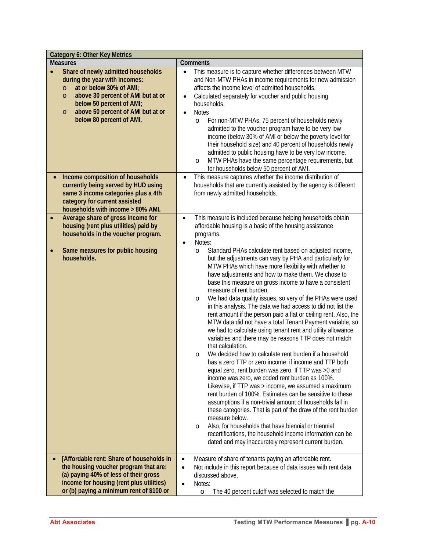|                 | <b>Category 6: Other Key Metrics</b>                                                                                                                                                                                                                              |                        |                                                                                                                                                                                                                                                                                                                                                                                                                                                                                                                                                                                                                                                                                                                                                                                                                                                                                                                                                                                                                                                                                                                                                                                                                                                                                                                                                                                                                                        |  |
|-----------------|-------------------------------------------------------------------------------------------------------------------------------------------------------------------------------------------------------------------------------------------------------------------|------------------------|----------------------------------------------------------------------------------------------------------------------------------------------------------------------------------------------------------------------------------------------------------------------------------------------------------------------------------------------------------------------------------------------------------------------------------------------------------------------------------------------------------------------------------------------------------------------------------------------------------------------------------------------------------------------------------------------------------------------------------------------------------------------------------------------------------------------------------------------------------------------------------------------------------------------------------------------------------------------------------------------------------------------------------------------------------------------------------------------------------------------------------------------------------------------------------------------------------------------------------------------------------------------------------------------------------------------------------------------------------------------------------------------------------------------------------------|--|
| <b>Measures</b> |                                                                                                                                                                                                                                                                   |                        | Comments                                                                                                                                                                                                                                                                                                                                                                                                                                                                                                                                                                                                                                                                                                                                                                                                                                                                                                                                                                                                                                                                                                                                                                                                                                                                                                                                                                                                                               |  |
|                 | Share of newly admitted households<br>during the year with incomes:<br>at or below 30% of AMI;<br>$\circ$<br>above 30 percent of AMI but at or<br>$\circ$<br>below 50 percent of AMI;<br>above 50 percent of AMI but at or<br>$\circ$<br>below 80 percent of AMI. | $\bullet$<br>$\bullet$ | This measure is to capture whether differences between MTW<br>and Non-MTW PHAs in income requirements for new admission<br>affects the income level of admitted households.<br>Calculated separately for voucher and public housing<br>households.<br><b>Notes</b><br>For non-MTW PHAs, 75 percent of households newly<br>$\circ$<br>admitted to the voucher program have to be very low<br>income (below 30% of AMI or below the poverty level for<br>their household size) and 40 percent of households newly<br>admitted to public housing have to be very low income.<br>MTW PHAs have the same percentage requirements, but<br>O<br>for households below 50 percent of AMI.                                                                                                                                                                                                                                                                                                                                                                                                                                                                                                                                                                                                                                                                                                                                                       |  |
|                 | Income composition of households<br>currently being served by HUD using<br>same 3 income categories plus a 4th<br>category for current assisted<br>households with income > 80% AMI.                                                                              | $\bullet$              | This measure captures whether the income distribution of<br>households that are currently assisted by the agency is different<br>from newly admitted households.                                                                                                                                                                                                                                                                                                                                                                                                                                                                                                                                                                                                                                                                                                                                                                                                                                                                                                                                                                                                                                                                                                                                                                                                                                                                       |  |
|                 | Average share of gross income for                                                                                                                                                                                                                                 | $\bullet$              | This measure is included because helping households obtain                                                                                                                                                                                                                                                                                                                                                                                                                                                                                                                                                                                                                                                                                                                                                                                                                                                                                                                                                                                                                                                                                                                                                                                                                                                                                                                                                                             |  |
|                 | housing (rent plus utilities) paid by                                                                                                                                                                                                                             |                        | affordable housing is a basic of the housing assistance                                                                                                                                                                                                                                                                                                                                                                                                                                                                                                                                                                                                                                                                                                                                                                                                                                                                                                                                                                                                                                                                                                                                                                                                                                                                                                                                                                                |  |
|                 | households in the voucher program.                                                                                                                                                                                                                                |                        | programs.                                                                                                                                                                                                                                                                                                                                                                                                                                                                                                                                                                                                                                                                                                                                                                                                                                                                                                                                                                                                                                                                                                                                                                                                                                                                                                                                                                                                                              |  |
|                 |                                                                                                                                                                                                                                                                   | $\bullet$              | Notes:                                                                                                                                                                                                                                                                                                                                                                                                                                                                                                                                                                                                                                                                                                                                                                                                                                                                                                                                                                                                                                                                                                                                                                                                                                                                                                                                                                                                                                 |  |
|                 | Same measures for public housing<br>households.                                                                                                                                                                                                                   |                        | Standard PHAs calculate rent based on adjusted income,<br>$\circ$<br>but the adjustments can vary by PHA and particularly for<br>MTW PHAs which have more flexibility with whether to<br>have adjustments and how to make them. We chose to<br>base this measure on gross income to have a consistent<br>measure of rent burden.<br>We had data quality issues, so very of the PHAs were used<br>O<br>in this analysis. The data we had access to did not list the<br>rent amount if the person paid a flat or ceiling rent. Also, the<br>MTW data did not have a total Tenant Payment variable, so<br>we had to calculate using tenant rent and utility allowance<br>variables and there may be reasons TTP does not match<br>that calculation.<br>We decided how to calculate rent burden if a household<br>O<br>has a zero TTP or zero income: if income and TTP both<br>equal zero, rent burden was zero. If TTP was >0 and<br>income was zero, we coded rent burden as 100%.<br>Likewise, if TTP was > income, we assumed a maximum<br>rent burden of 100%. Estimates can be sensitive to these<br>assumptions if a non-trivial amount of households fall in<br>these categories. That is part of the draw of the rent burden<br>measure below.<br>Also, for households that have biennial or triennial<br>O<br>recertifications, the household income information can be<br>dated and may inaccurately represent current burden. |  |
|                 | [Affordable rent: Share of households in<br>the housing voucher program that are:                                                                                                                                                                                 | $\bullet$              | Measure of share of tenants paying an affordable rent.                                                                                                                                                                                                                                                                                                                                                                                                                                                                                                                                                                                                                                                                                                                                                                                                                                                                                                                                                                                                                                                                                                                                                                                                                                                                                                                                                                                 |  |
|                 | (a) paying 40% of less of their gross                                                                                                                                                                                                                             | ٠                      | Not include in this report because of data issues with rent data<br>discussed above.                                                                                                                                                                                                                                                                                                                                                                                                                                                                                                                                                                                                                                                                                                                                                                                                                                                                                                                                                                                                                                                                                                                                                                                                                                                                                                                                                   |  |
|                 | income for housing (rent plus utilities)                                                                                                                                                                                                                          | $\bullet$              | Notes:                                                                                                                                                                                                                                                                                                                                                                                                                                                                                                                                                                                                                                                                                                                                                                                                                                                                                                                                                                                                                                                                                                                                                                                                                                                                                                                                                                                                                                 |  |
|                 | or (b) paying a minimum rent of \$100 or                                                                                                                                                                                                                          |                        | The 40 percent cutoff was selected to match the<br>$\circ$                                                                                                                                                                                                                                                                                                                                                                                                                                                                                                                                                                                                                                                                                                                                                                                                                                                                                                                                                                                                                                                                                                                                                                                                                                                                                                                                                                             |  |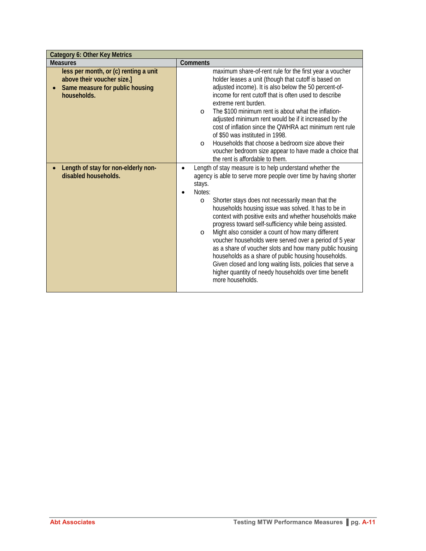| <b>Category 6: Other Key Metrics</b>                                                                                  |                                                                                                                                                                                                                                                                                                                                                                                                                                                                                                                                                                                                                                                                                                                                                                                                 |  |
|-----------------------------------------------------------------------------------------------------------------------|-------------------------------------------------------------------------------------------------------------------------------------------------------------------------------------------------------------------------------------------------------------------------------------------------------------------------------------------------------------------------------------------------------------------------------------------------------------------------------------------------------------------------------------------------------------------------------------------------------------------------------------------------------------------------------------------------------------------------------------------------------------------------------------------------|--|
| <b>Measures</b>                                                                                                       | Comments                                                                                                                                                                                                                                                                                                                                                                                                                                                                                                                                                                                                                                                                                                                                                                                        |  |
| less per month, or (c) renting a unit<br>above their voucher size.]<br>Same measure for public housing<br>households. | maximum share-of-rent rule for the first year a voucher<br>holder leases a unit (though that cutoff is based on<br>adjusted income). It is also below the 50 percent-of-<br>income for rent cutoff that is often used to describe<br>extreme rent burden.<br>The \$100 minimum rent is about what the inflation-<br>$\circ$<br>adjusted minimum rent would be if it increased by the<br>cost of inflation since the QWHRA act minimum rent rule<br>of \$50 was instituted in 1998.<br>Households that choose a bedroom size above their<br>$\Omega$<br>voucher bedroom size appear to have made a choice that<br>the rent is affordable to them.                                                                                                                                                |  |
| Length of stay for non-elderly non-<br>disabled households.                                                           | Length of stay measure is to help understand whether the<br>$\bullet$<br>agency is able to serve more people over time by having shorter<br>stays.<br>Notes:<br>Shorter stays does not necessarily mean that the<br>$\circ$<br>households housing issue was solved. It has to be in<br>context with positive exits and whether households make<br>progress toward self-sufficiency while being assisted.<br>Might also consider a count of how many different<br>$\circ$<br>voucher households were served over a period of 5 year<br>as a share of voucher slots and how many public housing<br>households as a share of public housing households.<br>Given closed and long waiting lists, policies that serve a<br>higher quantity of needy households over time benefit<br>more households. |  |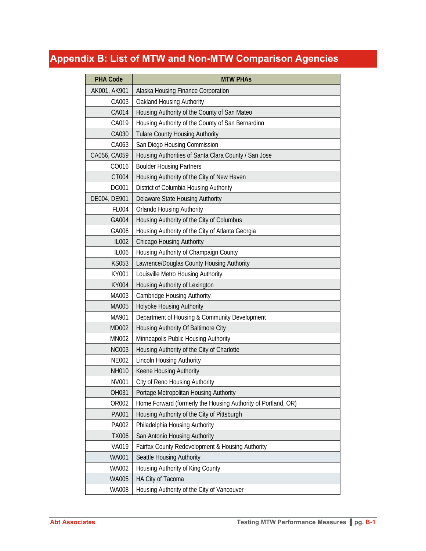# **Appendix B: List of MTW and Non-MTW Comparison Agencies**

| <b>PHA Code</b> | <b>MTW PHAS</b>                                               |
|-----------------|---------------------------------------------------------------|
| AK001, AK901    | Alaska Housing Finance Corporation                            |
| CA003           | Oakland Housing Authority                                     |
| CA014           | Housing Authority of the County of San Mateo                  |
| CA019           | Housing Authority of the County of San Bernardino             |
| CA030           | <b>Tulare County Housing Authority</b>                        |
| CA063           | San Diego Housing Commission                                  |
| CA056, CA059    | Housing Authorities of Santa Clara County / San Jose          |
| CO016           | <b>Boulder Housing Partners</b>                               |
| CT004           | Housing Authority of the City of New Haven                    |
| <b>DC001</b>    | District of Columbia Housing Authority                        |
| DE004, DE901    | Delaware State Housing Authority                              |
| FL004           | <b>Orlando Housing Authority</b>                              |
| GA004           | Housing Authority of the City of Columbus                     |
| GA006           | Housing Authority of the City of Atlanta Georgia              |
| <b>IL002</b>    | <b>Chicago Housing Authority</b>                              |
| <b>IL006</b>    | Housing Authority of Champaign County                         |
| <b>KS053</b>    | Lawrence/Douglas County Housing Authority                     |
| KY001           | Louisville Metro Housing Authority                            |
| <b>KY004</b>    | Housing Authority of Lexington                                |
| MA003           | <b>Cambridge Housing Authority</b>                            |
| MA005           | Holyoke Housing Authority                                     |
| MA901           | Department of Housing & Community Development                 |
| MD002           | Housing Authority Of Baltimore City                           |
| <b>MN002</b>    | Minneapolis Public Housing Authority                          |
| <b>NC003</b>    | Housing Authority of the City of Charlotte                    |
| <b>NE002</b>    | Lincoln Housing Authority                                     |
| <b>NH010</b>    | Keene Housing Authority                                       |
| NV001           | City of Reno Housing Authority                                |
| OH031           | Portage Metropolitan Housing Authority                        |
| OR002           | Home Forward (formerly the Housing Authority of Portland, OR) |
| PA001           | Housing Authority of the City of Pittsburgh                   |
| PA002           | Philadelphia Housing Authority                                |
| <b>TX006</b>    | San Antonio Housing Authority                                 |
| <b>VA019</b>    | Fairfax County Redevelopment & Housing Authority              |
| <b>WA001</b>    | Seattle Housing Authority                                     |
| <b>WA002</b>    | Housing Authority of King County                              |
| <b>WA005</b>    | HA City of Tacoma                                             |
| <b>WA008</b>    | Housing Authority of the City of Vancouver                    |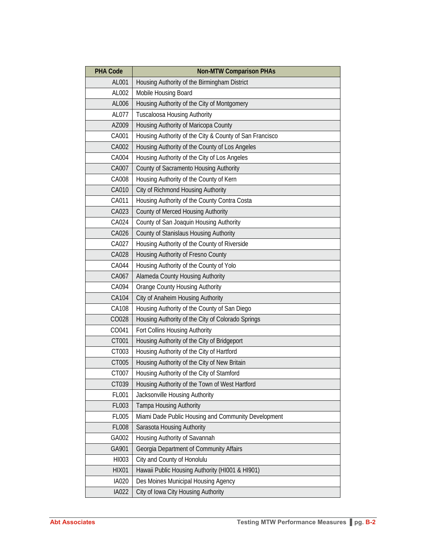| <b>PHA Code</b> | <b>Non-MTW Comparison PHAs</b>                          |
|-----------------|---------------------------------------------------------|
| AL001           | Housing Authority of the Birmingham District            |
| AL002           | Mobile Housing Board                                    |
| AL006           | Housing Authority of the City of Montgomery             |
| AL077           | <b>Tuscaloosa Housing Authority</b>                     |
| AZ009           | Housing Authority of Maricopa County                    |
| CA001           | Housing Authority of the City & County of San Francisco |
| CA002           | Housing Authority of the County of Los Angeles          |
| CA004           | Housing Authority of the City of Los Angeles            |
| CA007           | County of Sacramento Housing Authority                  |
| CA008           | Housing Authority of the County of Kern                 |
| CA010           | City of Richmond Housing Authority                      |
| CA011           | Housing Authority of the County Contra Costa            |
| CA023           | County of Merced Housing Authority                      |
| CA024           | County of San Joaquin Housing Authority                 |
| CA026           | County of Stanislaus Housing Authority                  |
| CA027           | Housing Authority of the County of Riverside            |
| CA028           | Housing Authority of Fresno County                      |
| CA044           | Housing Authority of the County of Yolo                 |
| CA067           | Alameda County Housing Authority                        |
| CA094           | <b>Orange County Housing Authority</b>                  |
| CA104           | City of Anaheim Housing Authority                       |
| CA108           | Housing Authority of the County of San Diego            |
| CO028           | Housing Authority of the City of Colorado Springs       |
| CO041           | Fort Collins Housing Authority                          |
| CT001           | Housing Authority of the City of Bridgeport             |
| CT003           | Housing Authority of the City of Hartford               |
| CT005           | Housing Authority of the City of New Britain            |
| CT007           | Housing Authority of the City of Stamford               |
| CT039           | Housing Authority of the Town of West Hartford          |
| FL001           | Jacksonville Housing Authority                          |
| FL003           | Tampa Housing Authority                                 |
| <b>FL005</b>    | Miami Dade Public Housing and Community Development     |
| <b>FL008</b>    | Sarasota Housing Authority                              |
| GA002           | Housing Authority of Savannah                           |
| GA901           | Georgia Department of Community Affairs                 |
| HI003           | City and County of Honolulu                             |
| <b>HIX01</b>    | Hawaii Public Housing Authority (HI001 & HI901)         |
| <b>IA020</b>    | Des Moines Municipal Housing Agency                     |
| IA022           | City of Iowa City Housing Authority                     |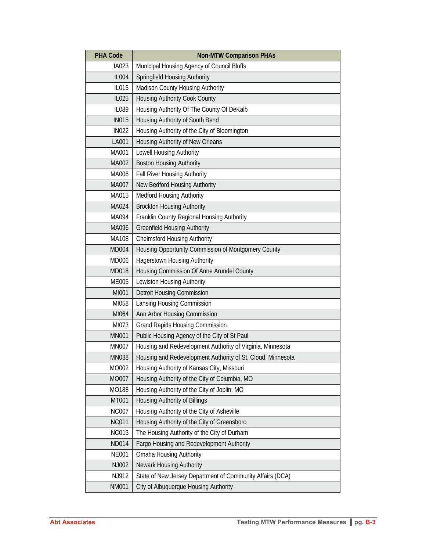| <b>PHA Code</b> | <b>Non-MTW Comparison PHAs</b>                              |
|-----------------|-------------------------------------------------------------|
| IA023           | Municipal Housing Agency of Council Bluffs                  |
| <b>IL004</b>    | <b>Springfield Housing Authority</b>                        |
| IL015           | Madison County Housing Authority                            |
| IL025           | <b>Housing Authority Cook County</b>                        |
| <b>IL089</b>    | Housing Authority Of The County Of DeKalb                   |
| <b>IN015</b>    | Housing Authority of South Bend                             |
| <b>IN022</b>    | Housing Authority of the City of Bloomington                |
| LA001           | Housing Authority of New Orleans                            |
| MA001           | Lowell Housing Authority                                    |
| MA002           | <b>Boston Housing Authority</b>                             |
| MA006           | <b>Fall River Housing Authority</b>                         |
| MA007           | New Bedford Housing Authority                               |
| MA015           | <b>Medford Housing Authority</b>                            |
| MA024           | <b>Brockton Housing Authority</b>                           |
| MA094           | Franklin County Regional Housing Authority                  |
| MA096           | <b>Greenfield Housing Authority</b>                         |
| MA108           | <b>Chelmsford Housing Authority</b>                         |
| <b>MD004</b>    | Housing Opportunity Commission of Montgomery County         |
| MD006           | <b>Hagerstown Housing Authority</b>                         |
| MD018           | Housing Commission Of Anne Arundel County                   |
| <b>ME005</b>    | Lewiston Housing Authority                                  |
| MI001           | <b>Detroit Housing Commission</b>                           |
| MI058           | Lansing Housing Commission                                  |
| MI064           | Ann Arbor Housing Commission                                |
| MI073           | <b>Grand Rapids Housing Commission</b>                      |
| <b>MN001</b>    | Public Housing Agency of the City of St Paul                |
| <b>MN007</b>    | Housing and Redevelopment Authority of Virginia, Minnesota  |
| <b>MN038</b>    | Housing and Redevelopment Authority of St. Cloud, Minnesota |
| MO002           | Housing Authority of Kansas City, Missouri                  |
| MO007           | Housing Authority of the City of Columbia, MO               |
| MO188           | Housing Authority of the City of Joplin, MO                 |
| MT001           | Housing Authority of Billings                               |
| <b>NC007</b>    | Housing Authority of the City of Asheville                  |
| <b>NC011</b>    | Housing Authority of the City of Greensboro                 |
| <b>NC013</b>    | The Housing Authority of the City of Durham                 |
| <b>ND014</b>    | Fargo Housing and Redevelopment Authority                   |
| <b>NE001</b>    | Omaha Housing Authority                                     |
| NJ002           | Newark Housing Authority                                    |
| NJ912           | State of New Jersey Department of Community Affairs (DCA)   |
| <b>NM001</b>    | City of Albuquerque Housing Authority                       |